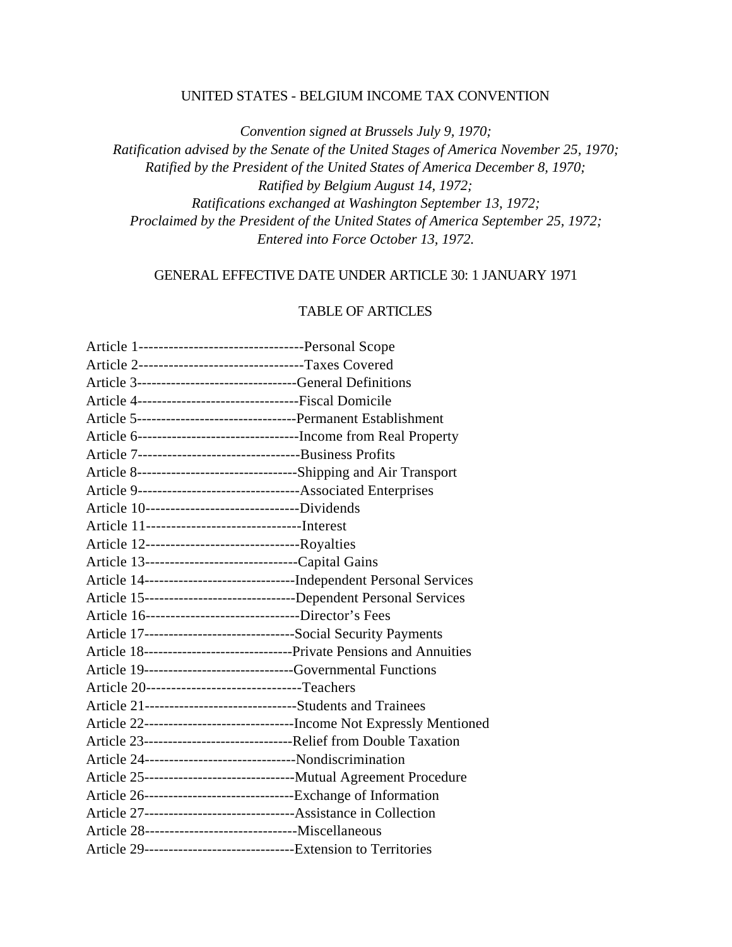#### UNITED STATES - BELGIUM INCOME TAX CONVENTION

*Convention signed at Brussels July 9, 1970; Ratification advised by the Senate of the United Stages of America November 25, 1970; Ratified by the President of the United States of America December 8, 1970; Ratified by Belgium August 14, 1972; Ratifications exchanged at Washington September 13, 1972; Proclaimed by the President of the United States of America September 25, 1972; Entered into Force October 13, 1972.*

#### GENERAL EFFECTIVE DATE UNDER ARTICLE 30: 1 JANUARY 1971

#### TABLE OF ARTICLES

| Article 2---------------------------------Taxes Covered                    |                                                                           |
|----------------------------------------------------------------------------|---------------------------------------------------------------------------|
| Article 3-------------------------------General Definitions                |                                                                           |
| Article 4----------------------------------Fiscal Domicile                 |                                                                           |
|                                                                            |                                                                           |
| Article 6----------------------------------Income from Real Property       |                                                                           |
|                                                                            |                                                                           |
| Article 8-----------------------------------Shipping and Air Transport     |                                                                           |
| Article 9----------------------------------Associated Enterprises          |                                                                           |
| Article 10--------------------------------Dividends                        |                                                                           |
|                                                                            |                                                                           |
| Article 12---------------------------------Royalties                       |                                                                           |
| Article 13---------------------------------Capital Gains                   |                                                                           |
| Article 14-----------------------------------Independent Personal Services |                                                                           |
| Article 15----------------------------------Dependent Personal Services    |                                                                           |
| Article 16------------------------------Director's Fees                    |                                                                           |
| Article 17-------------------------------Social Security Payments          |                                                                           |
| Article 18----------------------------------Private Pensions and Annuities |                                                                           |
| Article 19-----------------------------Governmental Functions              |                                                                           |
| Article 20-------------------------------Teachers                          |                                                                           |
| Article 21-------------------------------Students and Trainees             |                                                                           |
|                                                                            | Article 22---------------------------------Income Not Expressly Mentioned |
|                                                                            |                                                                           |
| Article 24--------------------------------Nondiscrimination                |                                                                           |
| Article 25-----------------------------------Mutual Agreement Procedure    |                                                                           |
| Article 26---------------------------------Exchange of Information         |                                                                           |
| Article 27----------------------------------Assistance in Collection       |                                                                           |
|                                                                            |                                                                           |
| Article 29--------------------------------Extension to Territories         |                                                                           |
|                                                                            |                                                                           |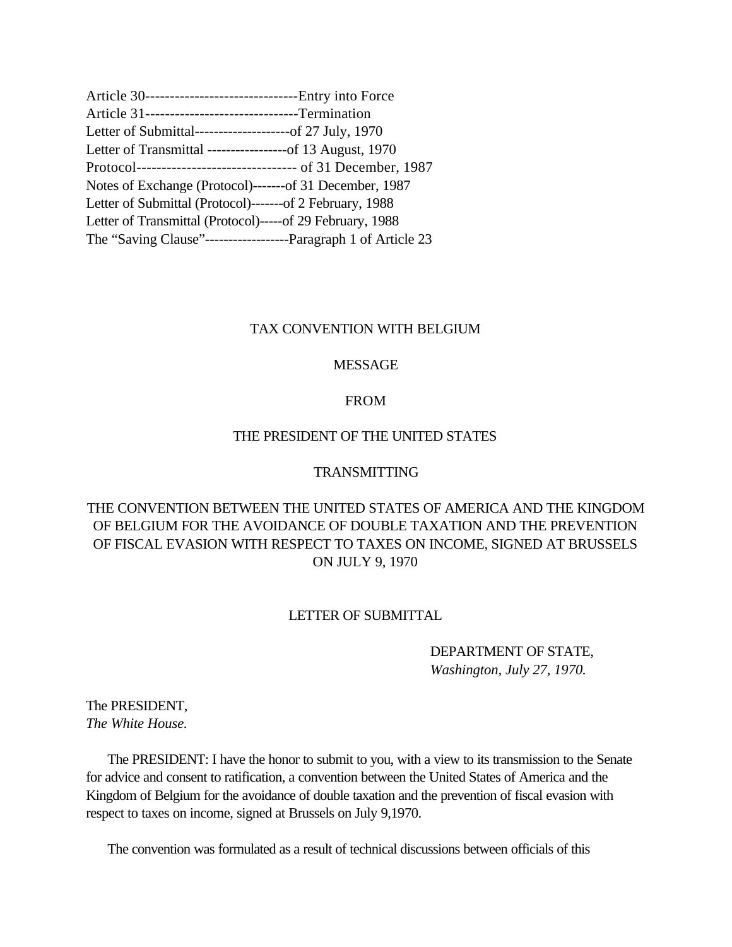| Article 30---------------------------------Entry into Force    |  |
|----------------------------------------------------------------|--|
| Article 31--------------------------------Termination          |  |
| Letter of Submittal----------------------of 27 July, 1970      |  |
| Letter of Transmittal ------------------of 13 August, 1970     |  |
| Protocol--------------------------------- of 31 December, 1987 |  |
| Notes of Exchange (Protocol)-------of 31 December, 1987        |  |
| Letter of Submittal (Protocol)-------of 2 February, 1988       |  |
| Letter of Transmittal (Protocol)-----of 29 February, 1988      |  |
|                                                                |  |

## TAX CONVENTION WITH BELGIUM

## MESSAGE

#### FROM

## THE PRESIDENT OF THE UNITED STATES

#### TRANSMITTING

# THE CONVENTION BETWEEN THE UNITED STATES OF AMERICA AND THE KINGDOM OF BELGIUM FOR THE AVOIDANCE OF DOUBLE TAXATION AND THE PREVENTION OF FISCAL EVASION WITH RESPECT TO TAXES ON INCOME, SIGNED AT BRUSSELS ON JULY 9, 1970

#### LETTER OF SUBMITTAL

# DEPARTMENT OF STATE, *Washington, July 27, 1970.*

# The PRESIDENT, *The White House.*

 The PRESIDENT: I have the honor to submit to you, with a view to its transmission to the Senate for advice and consent to ratification, a convention between the United States of America and the Kingdom of Belgium for the avoidance of double taxation and the prevention of fiscal evasion with respect to taxes on income, signed at Brussels on July 9,1970.

The convention was formulated as a result of technical discussions between officials of this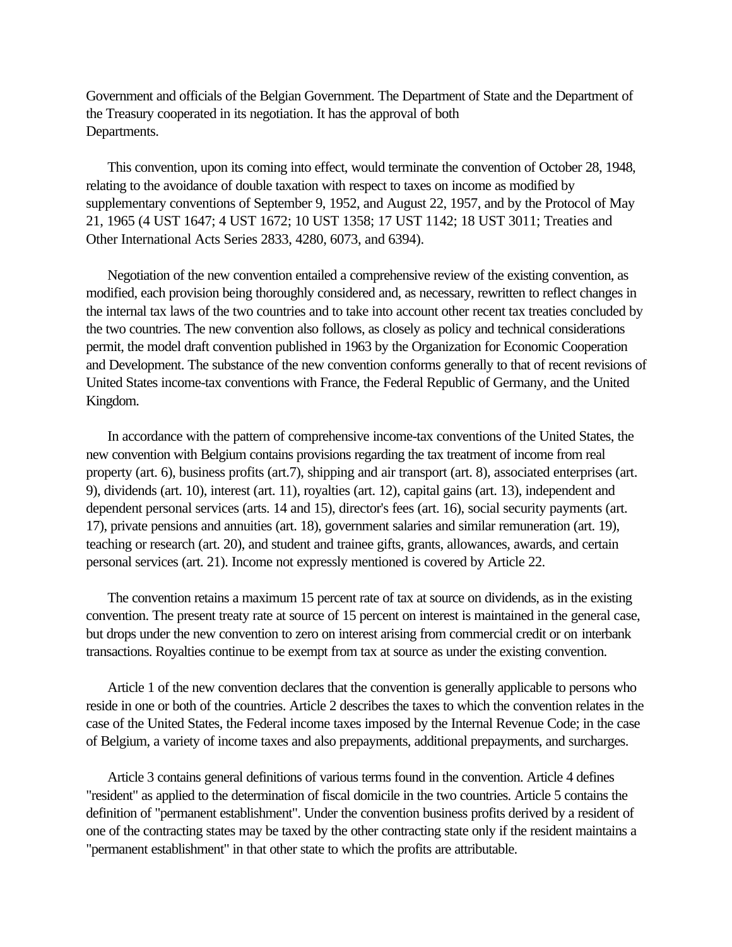Government and officials of the Belgian Government. The Department of State and the Department of the Treasury cooperated in its negotiation. It has the approval of both Departments.

 This convention, upon its coming into effect, would terminate the convention of October 28, 1948, relating to the avoidance of double taxation with respect to taxes on income as modified by supplementary conventions of September 9, 1952, and August 22, 1957, and by the Protocol of May 21, 1965 (4 UST 1647; 4 UST 1672; 10 UST 1358; 17 UST 1142; 18 UST 3011; Treaties and Other International Acts Series 2833, 4280, 6073, and 6394).

 Negotiation of the new convention entailed a comprehensive review of the existing convention, as modified, each provision being thoroughly considered and, as necessary, rewritten to reflect changes in the internal tax laws of the two countries and to take into account other recent tax treaties concluded by the two countries. The new convention also follows, as closely as policy and technical considerations permit, the model draft convention published in 1963 by the Organization for Economic Cooperation and Development. The substance of the new convention conforms generally to that of recent revisions of United States income-tax conventions with France, the Federal Republic of Germany, and the United Kingdom.

 In accordance with the pattern of comprehensive income-tax conventions of the United States, the new convention with Belgium contains provisions regarding the tax treatment of income from real property (art. 6), business profits (art.7), shipping and air transport (art. 8), associated enterprises (art. 9), dividends (art. 10), interest (art. 11), royalties (art. 12), capital gains (art. 13), independent and dependent personal services (arts. 14 and 15), director's fees (art. 16), social security payments (art. 17), private pensions and annuities (art. 18), government salaries and similar remuneration (art. 19), teaching or research (art. 20), and student and trainee gifts, grants, allowances, awards, and certain personal services (art. 21). Income not expressly mentioned is covered by Article 22.

 The convention retains a maximum 15 percent rate of tax at source on dividends, as in the existing convention. The present treaty rate at source of 15 percent on interest is maintained in the general case, but drops under the new convention to zero on interest arising from commercial credit or on interbank transactions. Royalties continue to be exempt from tax at source as under the existing convention.

 Article 1 of the new convention declares that the convention is generally applicable to persons who reside in one or both of the countries. Article 2 describes the taxes to which the convention relates in the case of the United States, the Federal income taxes imposed by the Internal Revenue Code; in the case of Belgium, a variety of income taxes and also prepayments, additional prepayments, and surcharges.

 Article 3 contains general definitions of various terms found in the convention. Article 4 defines "resident" as applied to the determination of fiscal domicile in the two countries. Article 5 contains the definition of "permanent establishment". Under the convention business profits derived by a resident of one of the contracting states may be taxed by the other contracting state only if the resident maintains a "permanent establishment" in that other state to which the profits are attributable.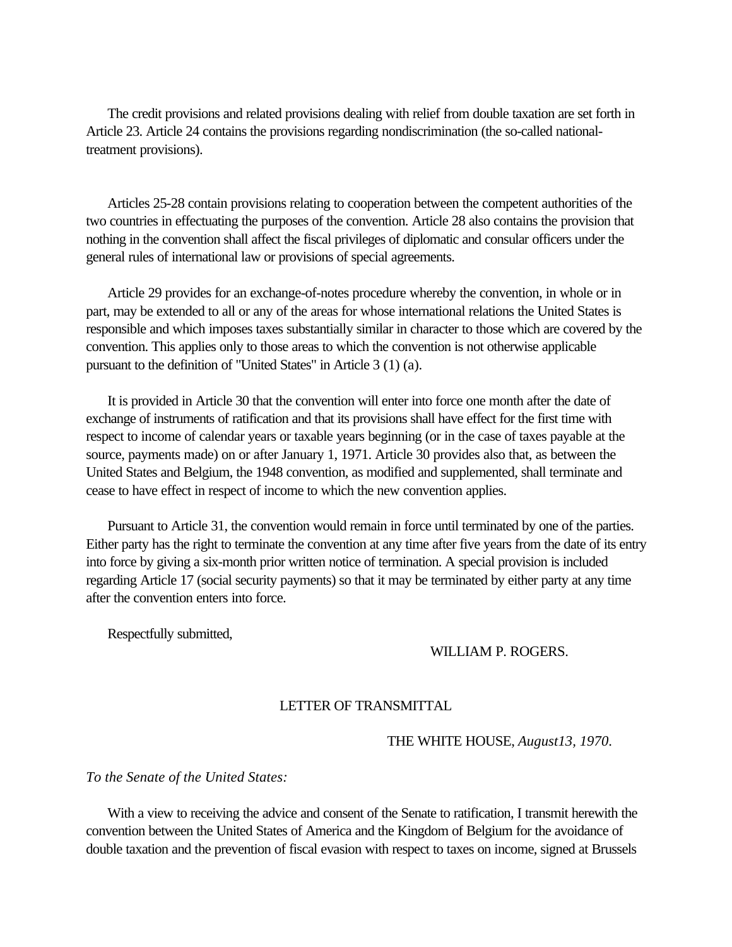<span id="page-3-0"></span> The credit provisions and related provisions dealing with relief from double taxation are set forth in Article 23. Article 24 contains the provisions regarding nondiscrimination (the so-called nationaltreatment provisions).

 Articles 25-28 contain provisions relating to cooperation between the competent authorities of the two countries in effectuating the purposes of the convention. Article 28 also contains the provision that nothing in the convention shall affect the fiscal privileges of diplomatic and consular officers under the general rules of international law or provisions of special agreements.

 Article 29 provides for an exchange-of-notes procedure whereby the convention, in whole or in part, may be extended to all or any of the areas for whose international relations the United States is responsible and which imposes taxes substantially similar in character to those which are covered by the convention. This applies only to those areas to which the convention is not otherwise applicable pursuant to the definition of "United States" in Article 3 (1) (a).

 It is provided in Article 30 that the convention will enter into force one month after the date of exchange of instruments of ratification and that its provisions shall have effect for the first time with respect to income of calendar years or taxable years beginning (or in the case of taxes payable at the source, payments made) on or after January 1, 1971. Article 30 provides also that, as between the United States and Belgium, the 1948 convention, as modified and supplemented, shall terminate and cease to have effect in respect of income to which the new convention applies.

 Pursuant to Article 31, the convention would remain in force until terminated by one of the parties. Either party has the right to terminate the convention at any time after five years from the date of its entry into force by giving a six-month prior written notice of termination. A special provision is included regarding Article 17 (social security payments) so that it may be terminated by either party at any time after the convention enters into force.

Respectfully submitted,

## WILLIAM P. ROGERS.

## LETTER OF TRANSMITTAL

THE WHITE HOUSE, *August13, 1970*.

*To the Senate of the United States:*

With a view to receiving the advice and consent of the Senate to ratification, I transmit herewith the convention between the United States of America and the Kingdom of Belgium for the avoidance of double taxation and the prevention of fiscal evasion with respect to taxes on income, signed at Brussels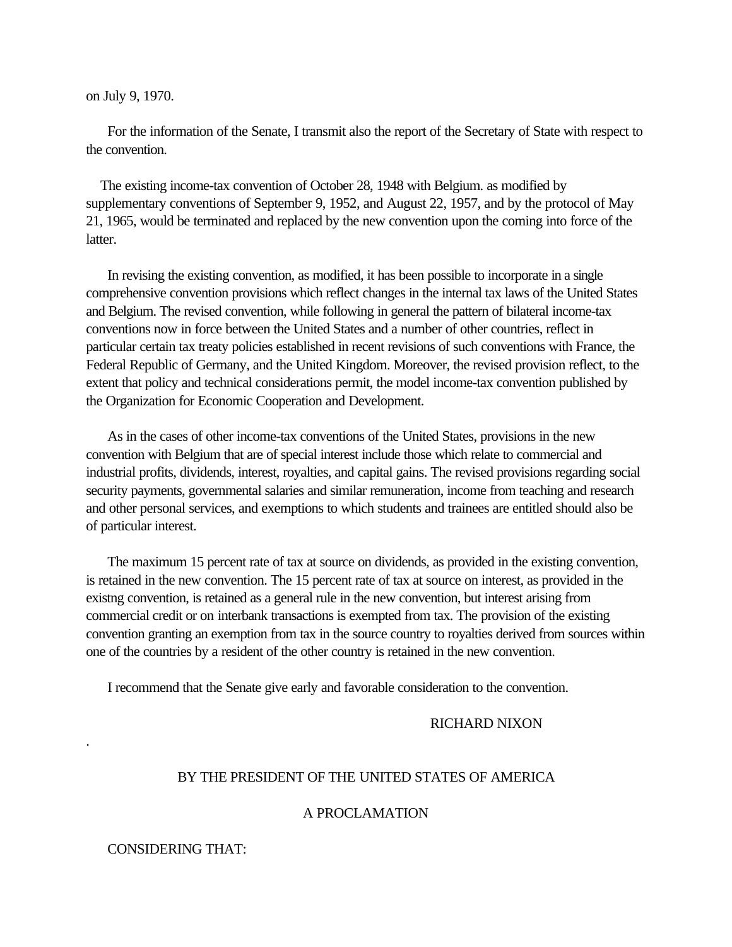on July 9, 1970.

 For the information of the Senate, I transmit also the report of the Secretary of State with respect to the convention.

 The existing income-tax convention of October 28, 1948 with Belgium. as modified by supplementary conventions of September 9, 1952, and August 22, 1957, and by the protocol of May 21, 1965, would be terminated and replaced by the new convention upon the coming into force of the latter.

 In revising the existing convention, as modified, it has been possible to incorporate in a single comprehensive convention provisions which reflect changes in the internal tax laws of the United States and Belgium. The revised convention, while following in general the pattern of bilateral income-tax conventions now in force between the United States and a number of other countries, reflect in particular certain tax treaty policies established in recent revisions of such conventions with France, the Federal Republic of Germany, and the United Kingdom. Moreover, the revised provision reflect, to the extent that policy and technical considerations permit, the model income-tax convention published by the Organization for Economic Cooperation and Development.

 As in the cases of other income-tax conventions of the United States, provisions in the new convention with Belgium that are of special interest include those which relate to commercial and industrial profits, dividends, interest, royalties, and capital gains. The revised provisions regarding social security payments, governmental salaries and similar remuneration, income from teaching and research and other personal services, and exemptions to which students and trainees are entitled should also be of particular interest.

 The maximum 15 percent rate of tax at source on dividends, as provided in the existing convention, is retained in the new convention. The 15 percent rate of tax at source on interest, as provided in the existng convention, is retained as a general rule in the new convention, but interest arising from commercial credit or on interbank transactions is exempted from tax. The provision of the existing convention granting an exemption from tax in the source country to royalties derived from sources within one of the countries by a resident of the other country is retained in the new convention.

I recommend that the Senate give early and favorable consideration to the convention.

#### RICHARD NIXON

#### BY THE PRESIDENT OF THE UNITED STATES OF AMERICA

#### A PROCLAMATION

#### CONSIDERING THAT:

.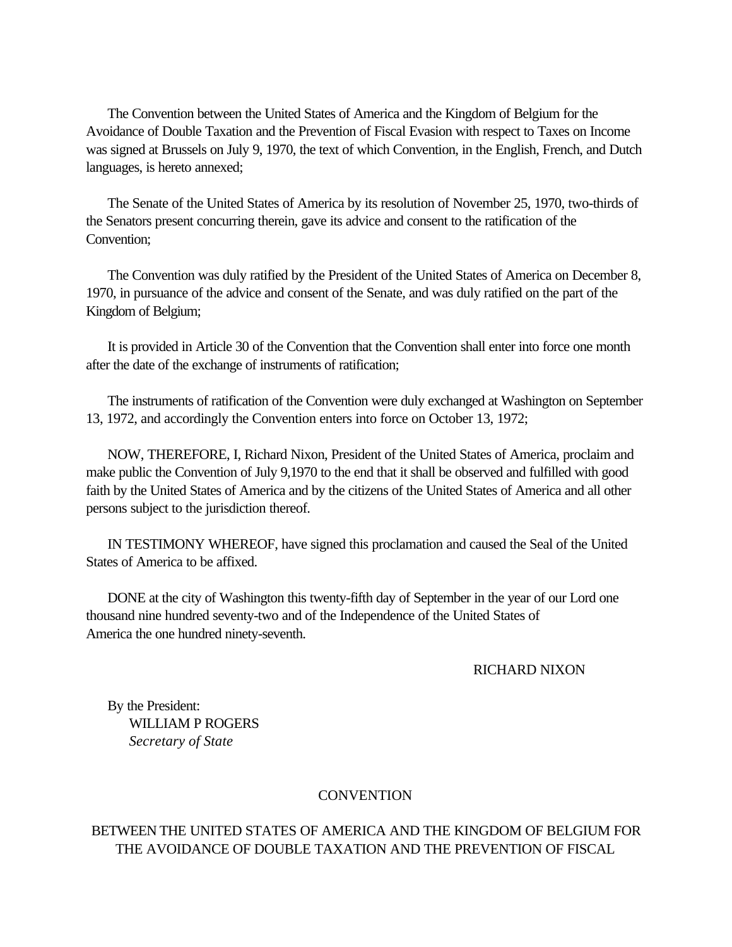The Convention between the United States of America and the Kingdom of Belgium for the Avoidance of Double Taxation and the Prevention of Fiscal Evasion with respect to Taxes on Income was signed at Brussels on July 9, 1970, the text of which Convention, in the English, French, and Dutch languages, is hereto annexed;

 The Senate of the United States of America by its resolution of November 25, 1970, two-thirds of the Senators present concurring therein, gave its advice and consent to the ratification of the Convention;

 The Convention was duly ratified by the President of the United States of America on December 8, 1970, in pursuance of the advice and consent of the Senate, and was duly ratified on the part of the Kingdom of Belgium;

 It is provided in Article 30 of the Convention that the Convention shall enter into force one month after the date of the exchange of instruments of ratification;

 The instruments of ratification of the Convention were duly exchanged at Washington on September 13, 1972, and accordingly the Convention enters into force on October 13, 1972;

 NOW, THEREFORE, I, Richard Nixon, President of the United States of America, proclaim and make public the Convention of July 9,1970 to the end that it shall be observed and fulfilled with good faith by the United States of America and by the citizens of the United States of America and all other persons subject to the jurisdiction thereof.

 IN TESTIMONY WHEREOF, have signed this proclamation and caused the Seal of the United States of America to be affixed.

 DONE at the city of Washington this twenty-fifth day of September in the year of our Lord one thousand nine hundred seventy-two and of the Independence of the United States of America the one hundred ninety-seventh.

RICHARD NIXON

 By the President: WILLIAM P ROGERS *Secretary of State*

#### **CONVENTION**

## BETWEEN THE UNITED STATES OF AMERICA AND THE KINGDOM OF BELGIUM FOR THE AVOIDANCE OF DOUBLE TAXATION AND THE PREVENTION OF FISCAL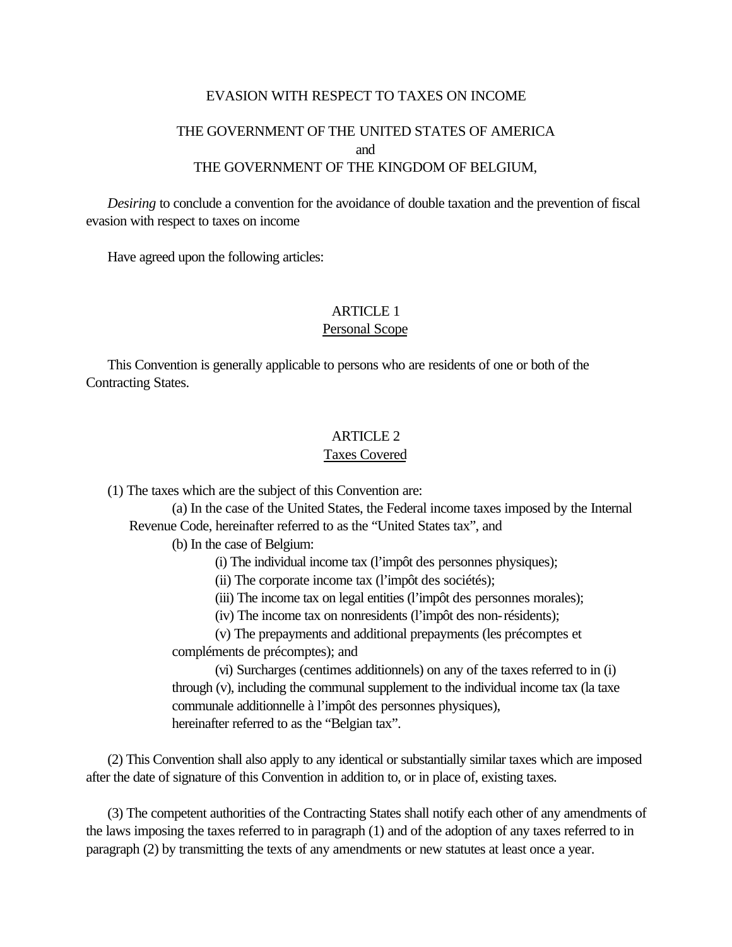#### EVASION WITH RESPECT TO TAXES ON INCOME

# THE GOVERNMENT OF THE UNITED STATES OF AMERICA and THE GOVERNMENT OF THE KINGDOM OF BELGIUM,

<span id="page-6-0"></span> *Desiring* to conclude a convention for the avoidance of double taxation and the prevention of fiscal evasion with respect to taxes on income

Have agreed upon the following articles:

## ARTICLE 1 Personal Scope

 This Convention is generally applicable to persons who are residents of one or both of the Contracting States.

#### ARTICLE 2

#### Taxes Covered

(1) The taxes which are the subject of this Convention are:

(a) In the case of the United States, the Federal income taxes imposed by the Internal Revenue Code, hereinafter referred to as the "United States tax", and

(b) In the case of Belgium:

(i) The individual income tax (l'impôt des personnes physiques);

(ii) The corporate income tax (l'impôt des sociétés);

(iii) The income tax on legal entities (l'impôt des personnes morales);

(iv) The income tax on nonresidents (l'impôt des non-résidents);

(v) The prepayments and additional prepayments (les précomptes et compléments de précomptes); and

(vi) Surcharges (centimes additionnels) on any of the taxes referred to in (i) through (v), including the communal supplement to the individual income tax (la taxe communale additionnelle à l'impôt des personnes physiques), hereinafter referred to as the "Belgian tax".

 (2) This Convention shall also apply to any identical or substantially similar taxes which are imposed after the date of signature of this Convention in addition to, or in place of, existing taxes.

 (3) The competent authorities of the Contracting States shall notify each other of any amendments of the laws imposing the taxes referred to in paragraph (1) and of the adoption of any taxes referred to in paragraph (2) by transmitting the texts of any amendments or new statutes at least once a year.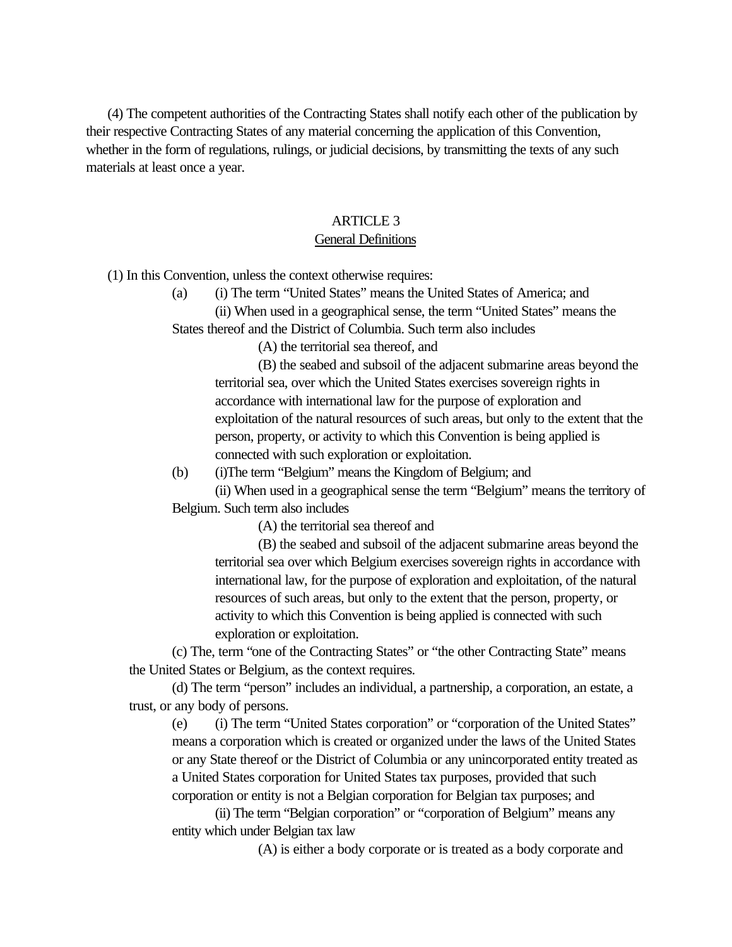<span id="page-7-0"></span> (4) The competent authorities of the Contracting States shall notify each other of the publication by their respective Contracting States of any material concerning the application of this Convention, whether in the form of regulations, rulings, or judicial decisions, by transmitting the texts of any such materials at least once a year.

#### ARTICLE 3

#### General Definitions

(1) In this Convention, unless the context otherwise requires:

(a) (i) The term "United States" means the United States of America; and

(ii) When used in a geographical sense, the term "United States" means the States thereof and the District of Columbia. Such term also includes

(A) the territorial sea thereof, and

(B) the seabed and subsoil of the adjacent submarine areas beyond the territorial sea, over which the United States exercises sovereign rights in accordance with international law for the purpose of exploration and exploitation of the natural resources of such areas, but only to the extent that the person, property, or activity to which this Convention is being applied is connected with such exploration or exploitation.

(b) (i)The term "Belgium" means the Kingdom of Belgium; and

(ii) When used in a geographical sense the term "Belgium" means the territory of Belgium. Such term also includes

(A) the territorial sea thereof and

(B) the seabed and subsoil of the adjacent submarine areas beyond the territorial sea over which Belgium exercises sovereign rights in accordance with international law, for the purpose of exploration and exploitation, of the natural resources of such areas, but only to the extent that the person, property, or activity to which this Convention is being applied is connected with such exploration or exploitation.

(c) The, term "one of the Contracting States" or "the other Contracting State" means the United States or Belgium, as the context requires.

(d) The term "person" includes an individual, a partnership, a corporation, an estate, a trust, or any body of persons.

(e) (i) The term "United States corporation" or "corporation of the United States" means a corporation which is created or organized under the laws of the United States or any State thereof or the District of Columbia or any unincorporated entity treated as a United States corporation for United States tax purposes, provided that such corporation or entity is not a Belgian corporation for Belgian tax purposes; and

(ii) The term "Belgian corporation" or "corporation of Belgium" means any entity which under Belgian tax law

(A) is either a body corporate or is treated as a body corporate and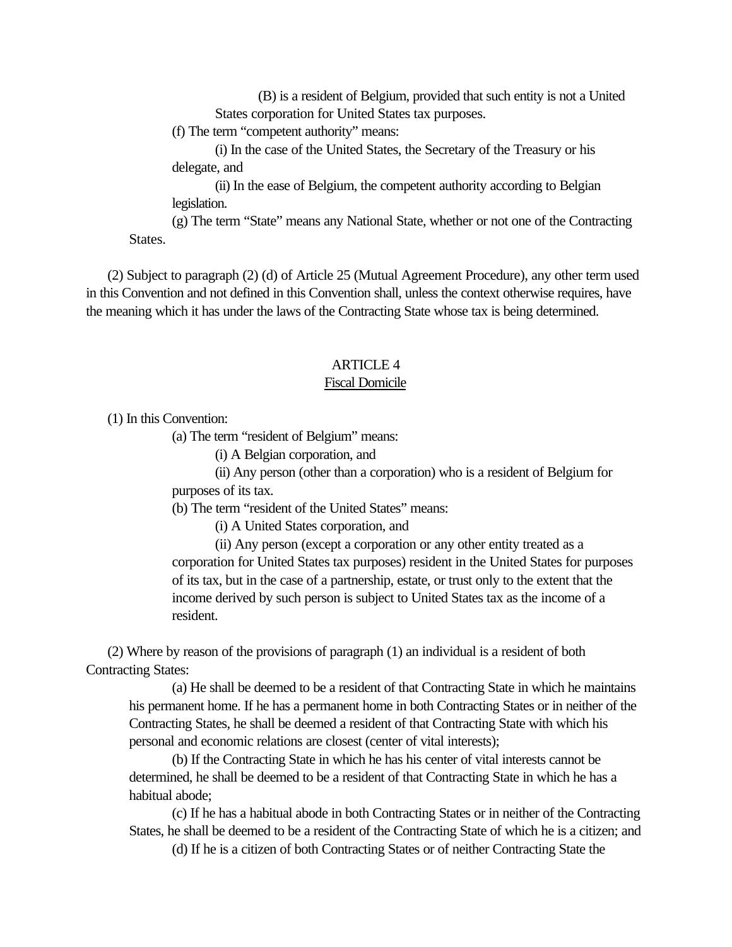<span id="page-8-0"></span>(B) is a resident of Belgium, provided that such entity is not a United States corporation for United States tax purposes.

(f) The term "competent authority" means:

(i) In the case of the United States, the Secretary of the Treasury or his delegate, and

(ii) In the ease of Belgium, the competent authority according to Belgian legislation.

(g) The term "State" means any National State, whether or not one of the Contracting States.

 (2) Subject to paragraph (2) (d) of Article 25 (Mutual Agreement Procedure), any other term used in this Convention and not defined in this Convention shall, unless the context otherwise requires, have the meaning which it has under the laws of the Contracting State whose tax is being determined.

#### ARTICLE 4

#### Fiscal Domicile

(1) In this Convention:

(a) The term "resident of Belgium" means:

(i) A Belgian corporation, and

(ii) Any person (other than a corporation) who is a resident of Belgium for purposes of its tax.

(b) The term "resident of the United States" means:

(i) A United States corporation, and

(ii) Any person (except a corporation or any other entity treated as a corporation for United States tax purposes) resident in the United States for purposes of its tax, but in the case of a partnership, estate, or trust only to the extent that the income derived by such person is subject to United States tax as the income of a resident.

 (2) Where by reason of the provisions of paragraph (1) an individual is a resident of both Contracting States:

(a) He shall be deemed to be a resident of that Contracting State in which he maintains his permanent home. If he has a permanent home in both Contracting States or in neither of the Contracting States, he shall be deemed a resident of that Contracting State with which his personal and economic relations are closest (center of vital interests);

(b) If the Contracting State in which he has his center of vital interests cannot be determined, he shall be deemed to be a resident of that Contracting State in which he has a habitual abode;

(c) If he has a habitual abode in both Contracting States or in neither of the Contracting States, he shall be deemed to be a resident of the Contracting State of which he is a citizen; and

(d) If he is a citizen of both Contracting States or of neither Contracting State the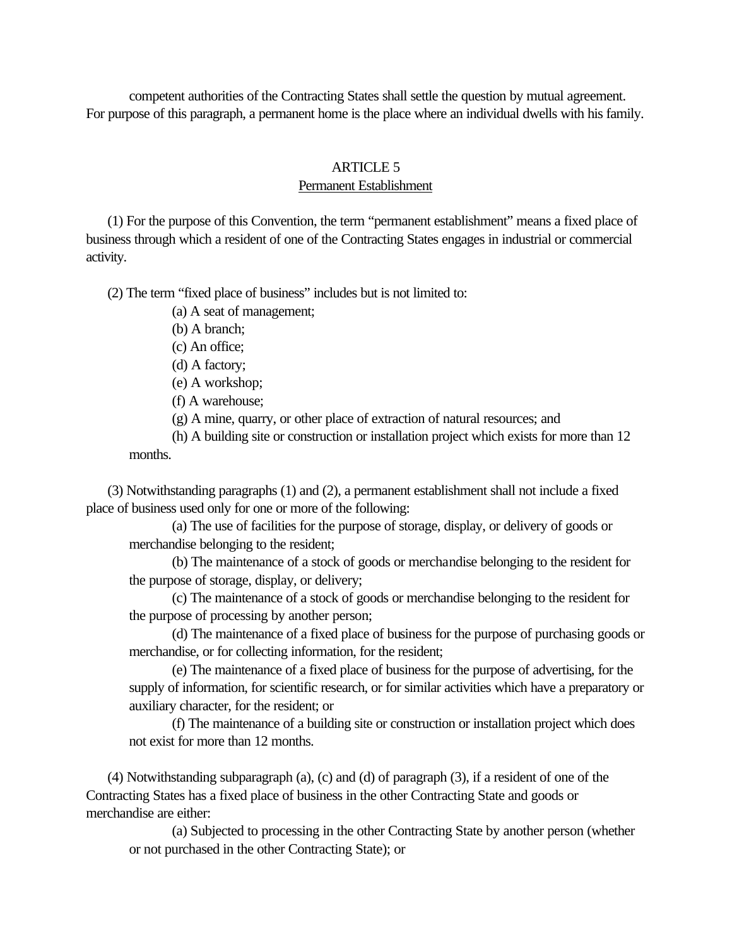<span id="page-9-0"></span>competent authorities of the Contracting States shall settle the question by mutual agreement. For purpose of this paragraph, a permanent home is the place where an individual dwells with his family.

#### ARTICLE 5

#### Permanent Establishment

 (1) For the purpose of this Convention, the term "permanent establishment" means a fixed place of business through which a resident of one of the Contracting States engages in industrial or commercial activity.

(2) The term "fixed place of business" includes but is not limited to:

(a) A seat of management;

(b) A branch;

(c) An office;

(d) A factory;

(e) A workshop;

(f) A warehouse;

(g) A mine, quarry, or other place of extraction of natural resources; and

(h) A building site or construction or installation project which exists for more than 12 months.

 (3) Notwithstanding paragraphs (1) and (2), a permanent establishment shall not include a fixed place of business used only for one or more of the following:

(a) The use of facilities for the purpose of storage, display, or delivery of goods or merchandise belonging to the resident;

(b) The maintenance of a stock of goods or merchandise belonging to the resident for the purpose of storage, display, or delivery;

(c) The maintenance of a stock of goods or merchandise belonging to the resident for the purpose of processing by another person;

(d) The maintenance of a fixed place of business for the purpose of purchasing goods or merchandise, or for collecting information, for the resident;

(e) The maintenance of a fixed place of business for the purpose of advertising, for the supply of information, for scientific research, or for similar activities which have a preparatory or auxiliary character, for the resident; or

(f) The maintenance of a building site or construction or installation project which does not exist for more than 12 months.

 (4) Notwithstanding subparagraph (a), (c) and (d) of paragraph (3), if a resident of one of the Contracting States has a fixed place of business in the other Contracting State and goods or merchandise are either:

(a) Subjected to processing in the other Contracting State by another person (whether or not purchased in the other Contracting State); or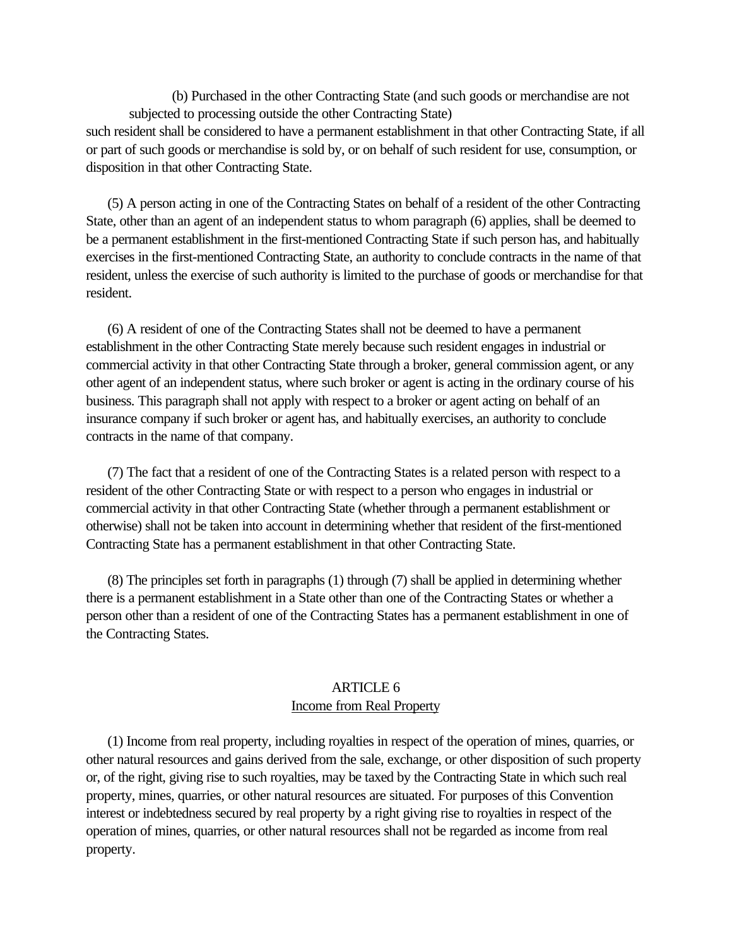<span id="page-10-0"></span>(b) Purchased in the other Contracting State (and such goods or merchandise are not subjected to processing outside the other Contracting State) such resident shall be considered to have a permanent establishment in that other Contracting State, if all or part of such goods or merchandise is sold by, or on behalf of such resident for use, consumption, or disposition in that other Contracting State.

 (5) A person acting in one of the Contracting States on behalf of a resident of the other Contracting State, other than an agent of an independent status to whom paragraph (6) applies, shall be deemed to be a permanent establishment in the first-mentioned Contracting State if such person has, and habitually exercises in the first-mentioned Contracting State, an authority to conclude contracts in the name of that resident, unless the exercise of such authority is limited to the purchase of goods or merchandise for that resident.

 (6) A resident of one of the Contracting States shall not be deemed to have a permanent establishment in the other Contracting State merely because such resident engages in industrial or commercial activity in that other Contracting State through a broker, general commission agent, or any other agent of an independent status, where such broker or agent is acting in the ordinary course of his business. This paragraph shall not apply with respect to a broker or agent acting on behalf of an insurance company if such broker or agent has, and habitually exercises, an authority to conclude contracts in the name of that company.

 (7) The fact that a resident of one of the Contracting States is a related person with respect to a resident of the other Contracting State or with respect to a person who engages in industrial or commercial activity in that other Contracting State (whether through a permanent establishment or otherwise) shall not be taken into account in determining whether that resident of the first-mentioned Contracting State has a permanent establishment in that other Contracting State.

 (8) The principles set forth in paragraphs (1) through (7) shall be applied in determining whether there is a permanent establishment in a State other than one of the Contracting States or whether a person other than a resident of one of the Contracting States has a permanent establishment in one of the Contracting States.

## ARTICLE 6 Income from Real Property

 (1) Income from real property, including royalties in respect of the operation of mines, quarries, or other natural resources and gains derived from the sale, exchange, or other disposition of such property or, of the right, giving rise to such royalties, may be taxed by the Contracting State in which such real property, mines, quarries, or other natural resources are situated. For purposes of this Convention interest or indebtedness secured by real property by a right giving rise to royalties in respect of the operation of mines, quarries, or other natural resources shall not be regarded as income from real property.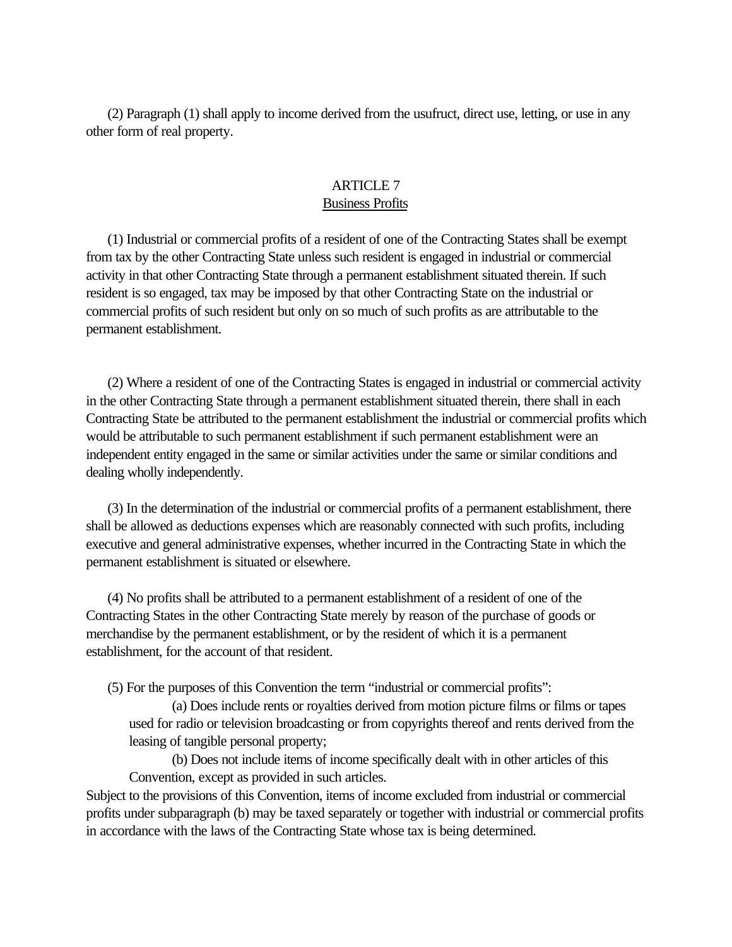<span id="page-11-0"></span> (2) Paragraph (1) shall apply to income derived from the usufruct, direct use, letting, or use in any other form of real property.

## ARTICLE 7 Business Profits

 (1) Industrial or commercial profits of a resident of one of the Contracting States shall be exempt from tax by the other Contracting State unless such resident is engaged in industrial or commercial activity in that other Contracting State through a permanent establishment situated therein. If such resident is so engaged, tax may be imposed by that other Contracting State on the industrial or commercial profits of such resident but only on so much of such profits as are attributable to the permanent establishment.

 (2) Where a resident of one of the Contracting States is engaged in industrial or commercial activity in the other Contracting State through a permanent establishment situated therein, there shall in each Contracting State be attributed to the permanent establishment the industrial or commercial profits which would be attributable to such permanent establishment if such permanent establishment were an independent entity engaged in the same or similar activities under the same or similar conditions and dealing wholly independently.

 (3) In the determination of the industrial or commercial profits of a permanent establishment, there shall be allowed as deductions expenses which are reasonably connected with such profits, including executive and general administrative expenses, whether incurred in the Contracting State in which the permanent establishment is situated or elsewhere.

 (4) No profits shall be attributed to a permanent establishment of a resident of one of the Contracting States in the other Contracting State merely by reason of the purchase of goods or merchandise by the permanent establishment, or by the resident of which it is a permanent establishment, for the account of that resident.

(5) For the purposes of this Convention the term "industrial or commercial profits":

(a) Does include rents or royalties derived from motion picture films or films or tapes used for radio or television broadcasting or from copyrights thereof and rents derived from the leasing of tangible personal property;

(b) Does not include items of income specifically dealt with in other articles of this Convention, except as provided in such articles.

Subject to the provisions of this Convention, items of income excluded from industrial or commercial profits under subparagraph (b) may be taxed separately or together with industrial or commercial profits in accordance with the laws of the Contracting State whose tax is being determined.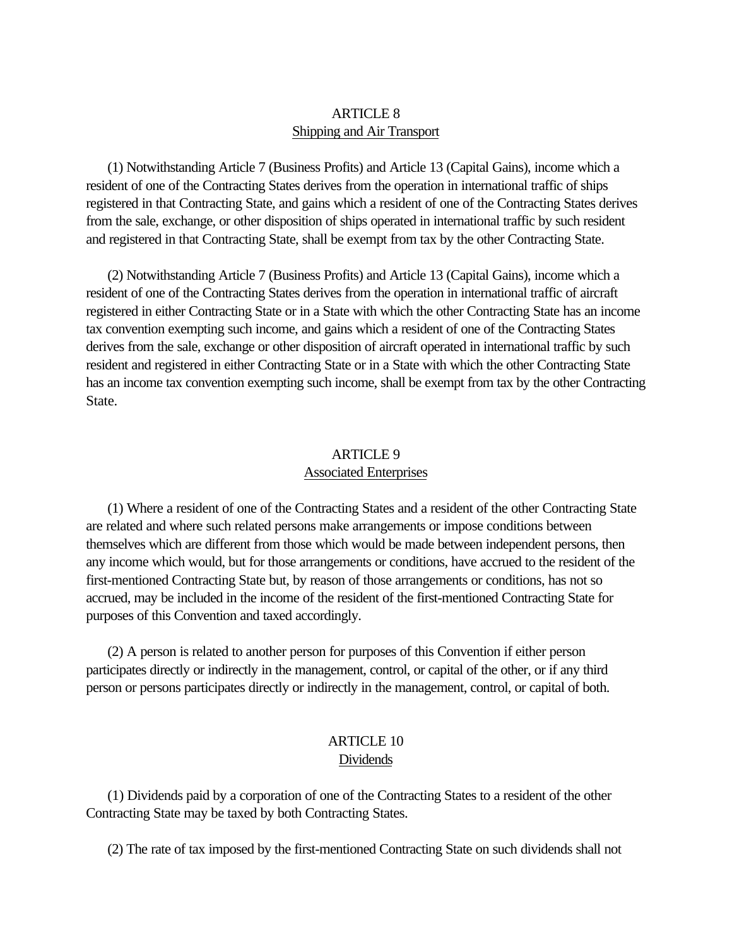## ARTICLE 8 Shipping and Air Transport

<span id="page-12-0"></span> (1) Notwithstanding Article 7 (Business Profits) and Article 13 (Capital Gains), income which a resident of one of the Contracting States derives from the operation in international traffic of ships registered in that Contracting State, and gains which a resident of one of the Contracting States derives from the sale, exchange, or other disposition of ships operated in international traffic by such resident and registered in that Contracting State, shall be exempt from tax by the other Contracting State.

 (2) Notwithstanding Article 7 (Business Profits) and Article 13 (Capital Gains), income which a resident of one of the Contracting States derives from the operation in international traffic of aircraft registered in either Contracting State or in a State with which the other Contracting State has an income tax convention exempting such income, and gains which a resident of one of the Contracting States derives from the sale, exchange or other disposition of aircraft operated in international traffic by such resident and registered in either Contracting State or in a State with which the other Contracting State has an income tax convention exempting such income, shall be exempt from tax by the other Contracting State.

## ARTICLE 9 Associated Enterprises

 (1) Where a resident of one of the Contracting States and a resident of the other Contracting State are related and where such related persons make arrangements or impose conditions between themselves which are different from those which would be made between independent persons, then any income which would, but for those arrangements or conditions, have accrued to the resident of the first-mentioned Contracting State but, by reason of those arrangements or conditions, has not so accrued, may be included in the income of the resident of the first-mentioned Contracting State for purposes of this Convention and taxed accordingly.

 (2) A person is related to another person for purposes of this Convention if either person participates directly or indirectly in the management, control, or capital of the other, or if any third person or persons participates directly or indirectly in the management, control, or capital of both.

## ARTICLE 10 Dividends

 (1) Dividends paid by a corporation of one of the Contracting States to a resident of the other Contracting State may be taxed by both Contracting States.

(2) The rate of tax imposed by the first-mentioned Contracting State on such dividends shall not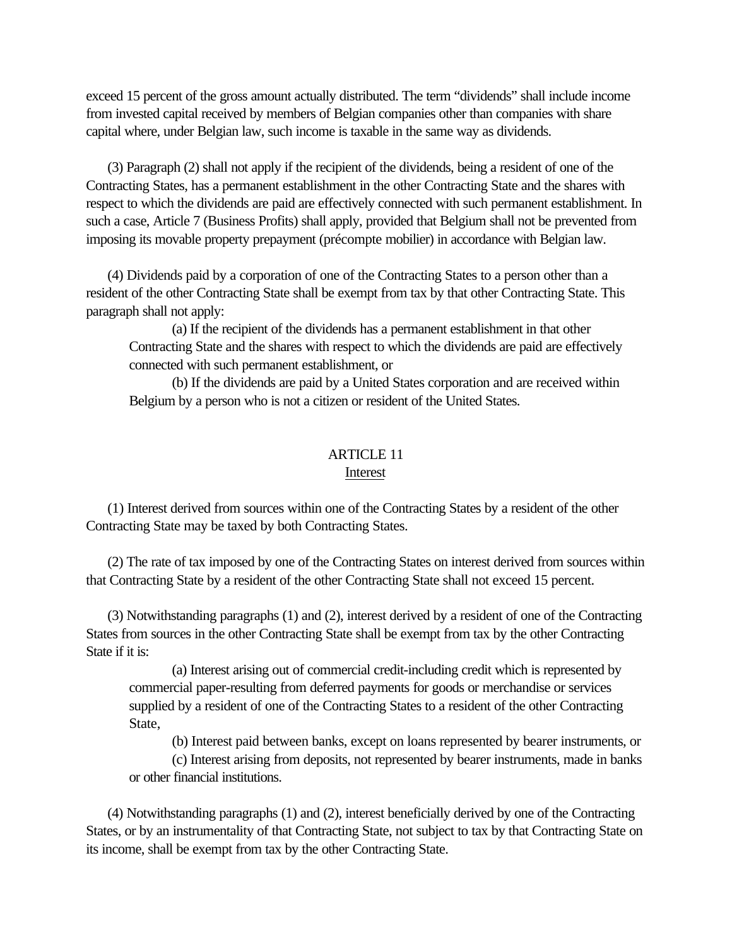<span id="page-13-0"></span>exceed 15 percent of the gross amount actually distributed. The term "dividends" shall include income from invested capital received by members of Belgian companies other than companies with share capital where, under Belgian law, such income is taxable in the same way as dividends.

 (3) Paragraph (2) shall not apply if the recipient of the dividends, being a resident of one of the Contracting States, has a permanent establishment in the other Contracting State and the shares with respect to which the dividends are paid are effectively connected with such permanent establishment. In such a case, Article 7 (Business Profits) shall apply, provided that Belgium shall not be prevented from imposing its movable property prepayment (précompte mobilier) in accordance with Belgian law.

 (4) Dividends paid by a corporation of one of the Contracting States to a person other than a resident of the other Contracting State shall be exempt from tax by that other Contracting State. This paragraph shall not apply:

(a) If the recipient of the dividends has a permanent establishment in that other Contracting State and the shares with respect to which the dividends are paid are effectively connected with such permanent establishment, or

(b) If the dividends are paid by a United States corporation and are received within Belgium by a person who is not a citizen or resident of the United States.

# ARTICLE 11

Interest

 (1) Interest derived from sources within one of the Contracting States by a resident of the other Contracting State may be taxed by both Contracting States.

 (2) The rate of tax imposed by one of the Contracting States on interest derived from sources within that Contracting State by a resident of the other Contracting State shall not exceed 15 percent.

 (3) Notwithstanding paragraphs (1) and (2), interest derived by a resident of one of the Contracting States from sources in the other Contracting State shall be exempt from tax by the other Contracting State if it is:

(a) Interest arising out of commercial credit-including credit which is represented by commercial paper-resulting from deferred payments for goods or merchandise or services supplied by a resident of one of the Contracting States to a resident of the other Contracting State,

(b) Interest paid between banks, except on loans represented by bearer instruments, or

(c) Interest arising from deposits, not represented by bearer instruments, made in banks or other financial institutions.

 (4) Notwithstanding paragraphs (1) and (2), interest beneficially derived by one of the Contracting States, or by an instrumentality of that Contracting State, not subject to tax by that Contracting State on its income, shall be exempt from tax by the other Contracting State.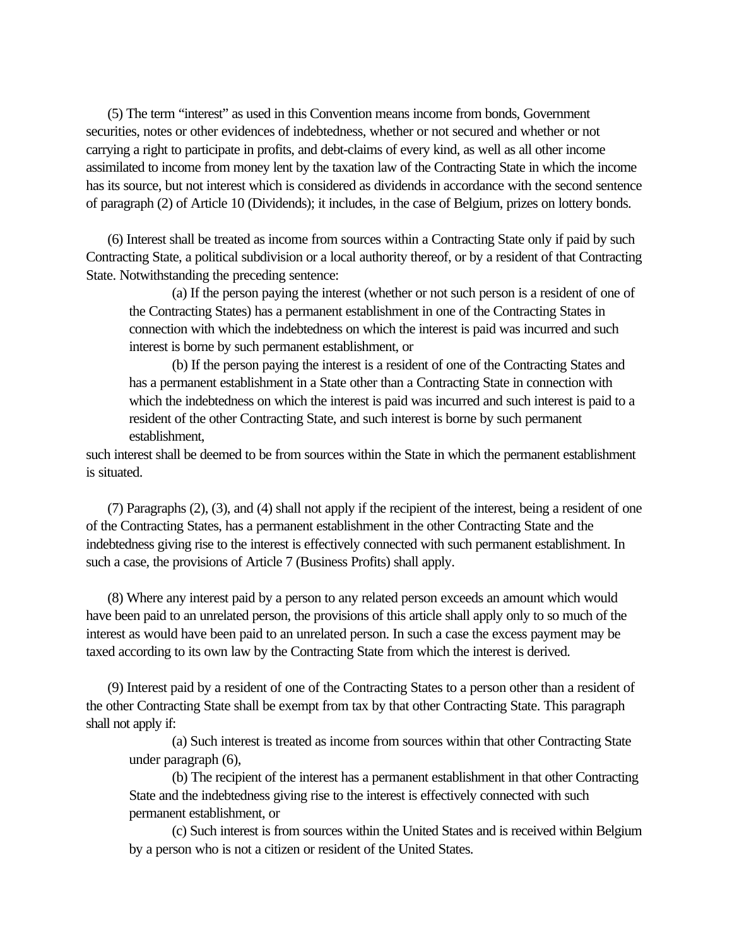(5) The term "interest" as used in this Convention means income from bonds, Government securities, notes or other evidences of indebtedness, whether or not secured and whether or not carrying a right to participate in profits, and debt-claims of every kind, as well as all other income assimilated to income from money lent by the taxation law of the Contracting State in which the income has its source, but not interest which is considered as dividends in accordance with the second sentence of paragraph (2) of Article 10 (Dividends); it includes, in the case of Belgium, prizes on lottery bonds.

 (6) Interest shall be treated as income from sources within a Contracting State only if paid by such Contracting State, a political subdivision or a local authority thereof, or by a resident of that Contracting State. Notwithstanding the preceding sentence:

(a) If the person paying the interest (whether or not such person is a resident of one of the Contracting States) has a permanent establishment in one of the Contracting States in connection with which the indebtedness on which the interest is paid was incurred and such interest is borne by such permanent establishment, or

(b) If the person paying the interest is a resident of one of the Contracting States and has a permanent establishment in a State other than a Contracting State in connection with which the indebtedness on which the interest is paid was incurred and such interest is paid to a resident of the other Contracting State, and such interest is borne by such permanent establishment,

such interest shall be deemed to be from sources within the State in which the permanent establishment is situated.

 (7) Paragraphs (2), (3), and (4) shall not apply if the recipient of the interest, being a resident of one of the Contracting States, has a permanent establishment in the other Contracting State and the indebtedness giving rise to the interest is effectively connected with such permanent establishment. In such a case, the provisions of Article 7 (Business Profits) shall apply.

 (8) Where any interest paid by a person to any related person exceeds an amount which would have been paid to an unrelated person, the provisions of this article shall apply only to so much of the interest as would have been paid to an unrelated person. In such a case the excess payment may be taxed according to its own law by the Contracting State from which the interest is derived.

 (9) Interest paid by a resident of one of the Contracting States to a person other than a resident of the other Contracting State shall be exempt from tax by that other Contracting State. This paragraph shall not apply if:

(a) Such interest is treated as income from sources within that other Contracting State under paragraph (6),

(b) The recipient of the interest has a permanent establishment in that other Contracting State and the indebtedness giving rise to the interest is effectively connected with such permanent establishment, or

(c) Such interest is from sources within the United States and is received within Belgium by a person who is not a citizen or resident of the United States.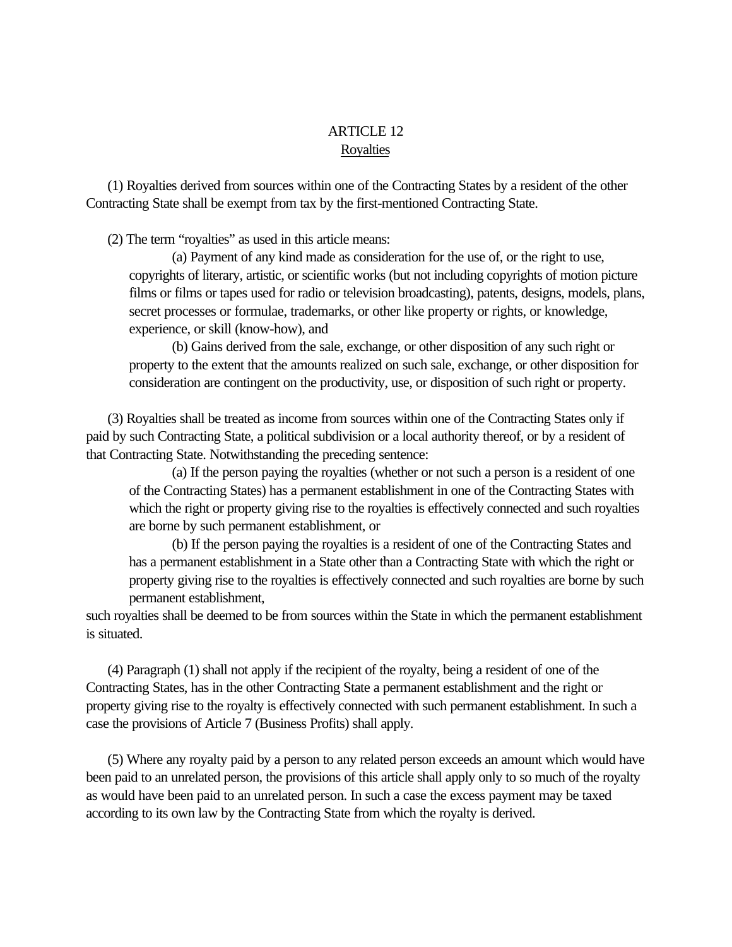# ARTICLE 12 **Royalties**

<span id="page-15-0"></span> (1) Royalties derived from sources within one of the Contracting States by a resident of the other Contracting State shall be exempt from tax by the first-mentioned Contracting State.

(2) The term "royalties" as used in this article means:

(a) Payment of any kind made as consideration for the use of, or the right to use, copyrights of literary, artistic, or scientific works (but not including copyrights of motion picture films or films or tapes used for radio or television broadcasting), patents, designs, models, plans, secret processes or formulae, trademarks, or other like property or rights, or knowledge, experience, or skill (know-how), and

(b) Gains derived from the sale, exchange, or other disposition of any such right or property to the extent that the amounts realized on such sale, exchange, or other disposition for consideration are contingent on the productivity, use, or disposition of such right or property.

 (3) Royalties shall be treated as income from sources within one of the Contracting States only if paid by such Contracting State, a political subdivision or a local authority thereof, or by a resident of that Contracting State. Notwithstanding the preceding sentence:

(a) If the person paying the royalties (whether or not such a person is a resident of one of the Contracting States) has a permanent establishment in one of the Contracting States with which the right or property giving rise to the royalties is effectively connected and such royalties are borne by such permanent establishment, or

(b) If the person paying the royalties is a resident of one of the Contracting States and has a permanent establishment in a State other than a Contracting State with which the right or property giving rise to the royalties is effectively connected and such royalties are borne by such permanent establishment,

such royalties shall be deemed to be from sources within the State in which the permanent establishment is situated.

 (4) Paragraph (1) shall not apply if the recipient of the royalty, being a resident of one of the Contracting States, has in the other Contracting State a permanent establishment and the right or property giving rise to the royalty is effectively connected with such permanent establishment. In such a case the provisions of Article 7 (Business Profits) shall apply.

 (5) Where any royalty paid by a person to any related person exceeds an amount which would have been paid to an unrelated person, the provisions of this article shall apply only to so much of the royalty as would have been paid to an unrelated person. In such a case the excess payment may be taxed according to its own law by the Contracting State from which the royalty is derived.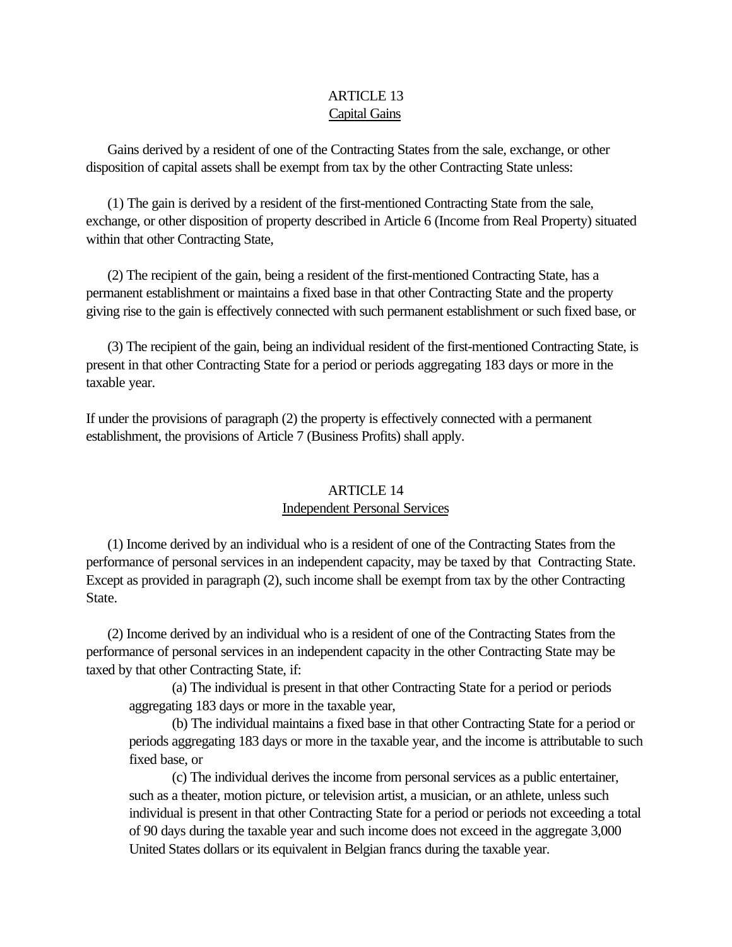# ARTICLE 13 Capital Gains

<span id="page-16-0"></span> Gains derived by a resident of one of the Contracting States from the sale, exchange, or other disposition of capital assets shall be exempt from tax by the other Contracting State unless:

 (1) The gain is derived by a resident of the first-mentioned Contracting State from the sale, exchange, or other disposition of property described in Article 6 (Income from Real Property) situated within that other Contracting State,

 (2) The recipient of the gain, being a resident of the first-mentioned Contracting State, has a permanent establishment or maintains a fixed base in that other Contracting State and the property giving rise to the gain is effectively connected with such permanent establishment or such fixed base, or

 (3) The recipient of the gain, being an individual resident of the first-mentioned Contracting State, is present in that other Contracting State for a period or periods aggregating 183 days or more in the taxable year.

If under the provisions of paragraph (2) the property is effectively connected with a permanent establishment, the provisions of Article 7 (Business Profits) shall apply.

# ARTICLE 14 Independent Personal Services

 (1) Income derived by an individual who is a resident of one of the Contracting States from the performance of personal services in an independent capacity, may be taxed by that Contracting State. Except as provided in paragraph (2), such income shall be exempt from tax by the other Contracting State.

 (2) Income derived by an individual who is a resident of one of the Contracting States from the performance of personal services in an independent capacity in the other Contracting State may be taxed by that other Contracting State, if:

(a) The individual is present in that other Contracting State for a period or periods aggregating 183 days or more in the taxable year,

(b) The individual maintains a fixed base in that other Contracting State for a period or periods aggregating 183 days or more in the taxable year, and the income is attributable to such fixed base, or

(c) The individual derives the income from personal services as a public entertainer, such as a theater, motion picture, or television artist, a musician, or an athlete, unless such individual is present in that other Contracting State for a period or periods not exceeding a total of 90 days during the taxable year and such income does not exceed in the aggregate 3,000 United States dollars or its equivalent in Belgian francs during the taxable year.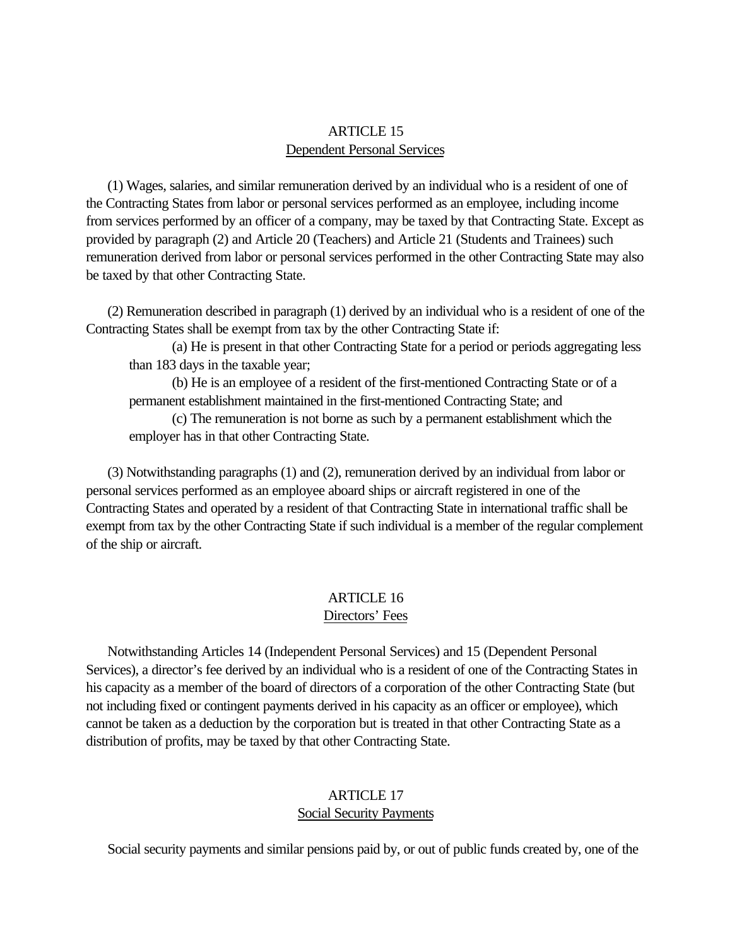## ARTICLE 15 Dependent Personal Services

<span id="page-17-0"></span> (1) Wages, salaries, and similar remuneration derived by an individual who is a resident of one of the Contracting States from labor or personal services performed as an employee, including income from services performed by an officer of a company, may be taxed by that Contracting State. Except as provided by paragraph (2) and Article 20 (Teachers) and Article 21 (Students and Trainees) such remuneration derived from labor or personal services performed in the other Contracting State may also be taxed by that other Contracting State.

 (2) Remuneration described in paragraph (1) derived by an individual who is a resident of one of the Contracting States shall be exempt from tax by the other Contracting State if:

(a) He is present in that other Contracting State for a period or periods aggregating less than 183 days in the taxable year;

(b) He is an employee of a resident of the first-mentioned Contracting State or of a permanent establishment maintained in the first-mentioned Contracting State; and

(c) The remuneration is not borne as such by a permanent establishment which the employer has in that other Contracting State.

 (3) Notwithstanding paragraphs (1) and (2), remuneration derived by an individual from labor or personal services performed as an employee aboard ships or aircraft registered in one of the Contracting States and operated by a resident of that Contracting State in international traffic shall be exempt from tax by the other Contracting State if such individual is a member of the regular complement of the ship or aircraft.

# ARTICLE 16

# Directors' Fees

 Notwithstanding Articles 14 (Independent Personal Services) and 15 (Dependent Personal Services), a director's fee derived by an individual who is a resident of one of the Contracting States in his capacity as a member of the board of directors of a corporation of the other Contracting State (but not including fixed or contingent payments derived in his capacity as an officer or employee), which cannot be taken as a deduction by the corporation but is treated in that other Contracting State as a distribution of profits, may be taxed by that other Contracting State.

## ARTICLE 17 Social Security Payments

Social security payments and similar pensions paid by, or out of public funds created by, one of the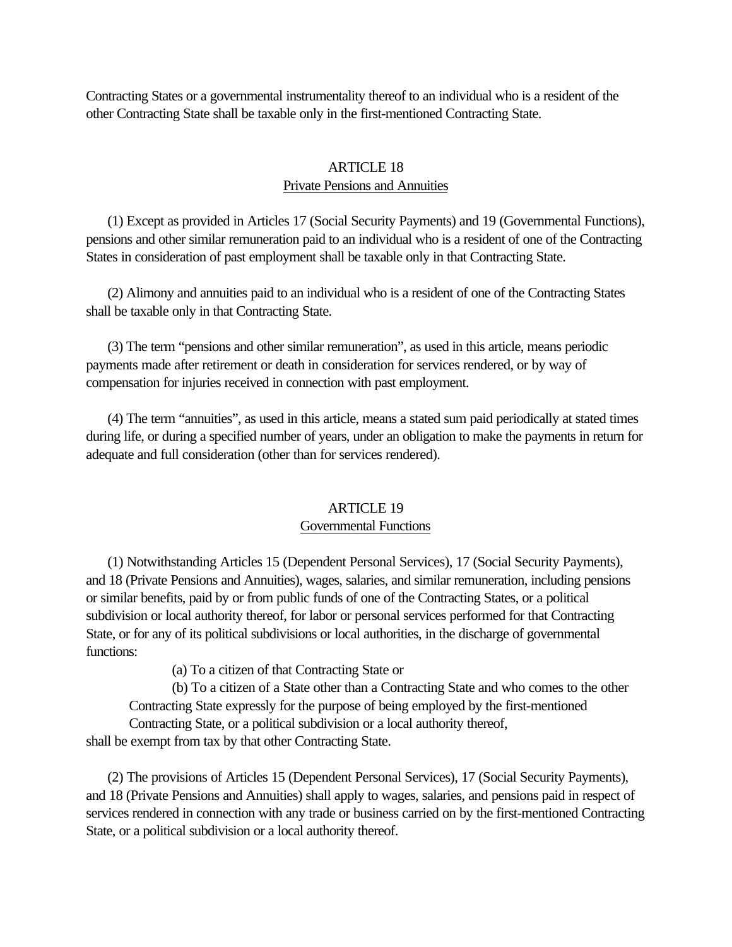<span id="page-18-0"></span>Contracting States or a governmental instrumentality thereof to an individual who is a resident of the other Contracting State shall be taxable only in the first-mentioned Contracting State.

## ARTICLE 18 Private Pensions and Annuities

 (1) Except as provided in Articles 17 (Social Security Payments) and 19 (Governmental Functions), pensions and other similar remuneration paid to an individual who is a resident of one of the Contracting States in consideration of past employment shall be taxable only in that Contracting State.

 (2) Alimony and annuities paid to an individual who is a resident of one of the Contracting States shall be taxable only in that Contracting State.

 (3) The term "pensions and other similar remuneration", as used in this article, means periodic payments made after retirement or death in consideration for services rendered, or by way of compensation for injuries received in connection with past employment.

 (4) The term "annuities", as used in this article, means a stated sum paid periodically at stated times during life, or during a specified number of years, under an obligation to make the payments in return for adequate and full consideration (other than for services rendered).

#### ARTICLE 19

## Governmental Functions

 (1) Notwithstanding Articles 15 (Dependent Personal Services), 17 (Social Security Payments), and 18 (Private Pensions and Annuities), wages, salaries, and similar remuneration, including pensions or similar benefits, paid by or from public funds of one of the Contracting States, or a political subdivision or local authority thereof, for labor or personal services performed for that Contracting State, or for any of its political subdivisions or local authorities, in the discharge of governmental functions:

(a) To a citizen of that Contracting State or

(b) To a citizen of a State other than a Contracting State and who comes to the other Contracting State expressly for the purpose of being employed by the first-mentioned Contracting State, or a political subdivision or a local authority thereof,

shall be exempt from tax by that other Contracting State.

 (2) The provisions of Articles 15 (Dependent Personal Services), 17 (Social Security Payments), and 18 (Private Pensions and Annuities) shall apply to wages, salaries, and pensions paid in respect of services rendered in connection with any trade or business carried on by the first-mentioned Contracting State, or a political subdivision or a local authority thereof.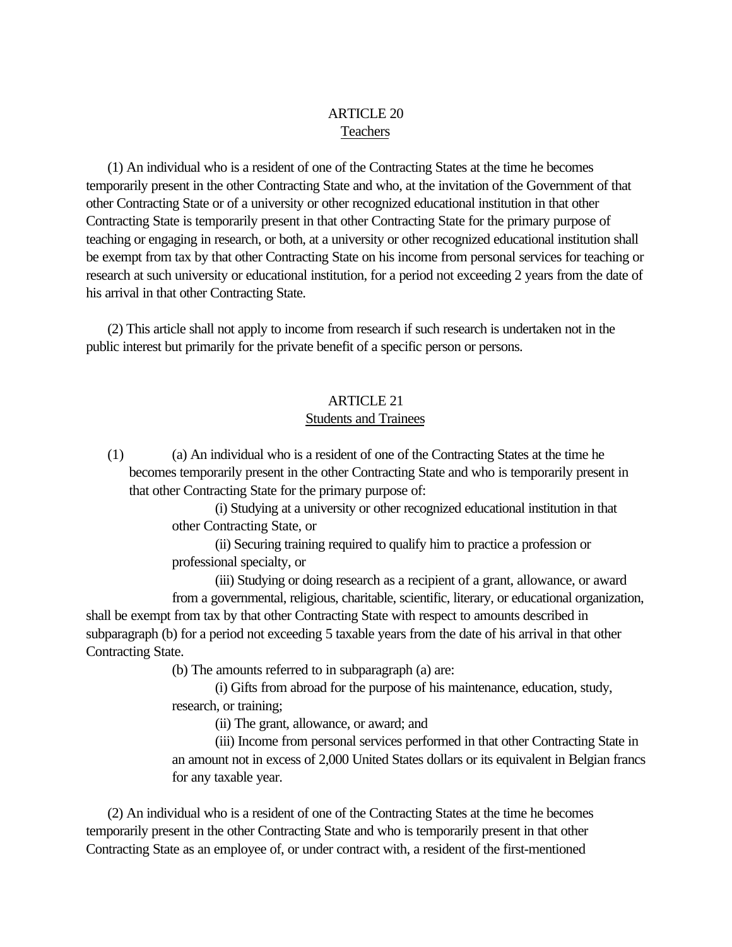## ARTICLE 20 Teachers

<span id="page-19-0"></span> (1) An individual who is a resident of one of the Contracting States at the time he becomes temporarily present in the other Contracting State and who, at the invitation of the Government of that other Contracting State or of a university or other recognized educational institution in that other Contracting State is temporarily present in that other Contracting State for the primary purpose of teaching or engaging in research, or both, at a university or other recognized educational institution shall be exempt from tax by that other Contracting State on his income from personal services for teaching or research at such university or educational institution, for a period not exceeding 2 years from the date of his arrival in that other Contracting State.

 (2) This article shall not apply to income from research if such research is undertaken not in the public interest but primarily for the private benefit of a specific person or persons.

## ARTICLE 21 Students and Trainees

 (1) (a) An individual who is a resident of one of the Contracting States at the time he becomes temporarily present in the other Contracting State and who is temporarily present in that other Contracting State for the primary purpose of:

> (i) Studying at a university or other recognized educational institution in that other Contracting State, or

(ii) Securing training required to qualify him to practice a profession or professional specialty, or

(iii) Studying or doing research as a recipient of a grant, allowance, or award from a governmental, religious, charitable, scientific, literary, or educational organization, shall be exempt from tax by that other Contracting State with respect to amounts described in subparagraph (b) for a period not exceeding 5 taxable years from the date of his arrival in that other Contracting State.

(b) The amounts referred to in subparagraph (a) are:

(i) Gifts from abroad for the purpose of his maintenance, education, study, research, or training;

(ii) The grant, allowance, or award; and

(iii) Income from personal services performed in that other Contracting State in an amount not in excess of 2,000 United States dollars or its equivalent in Belgian francs for any taxable year.

 (2) An individual who is a resident of one of the Contracting States at the time he becomes temporarily present in the other Contracting State and who is temporarily present in that other Contracting State as an employee of, or under contract with, a resident of the first-mentioned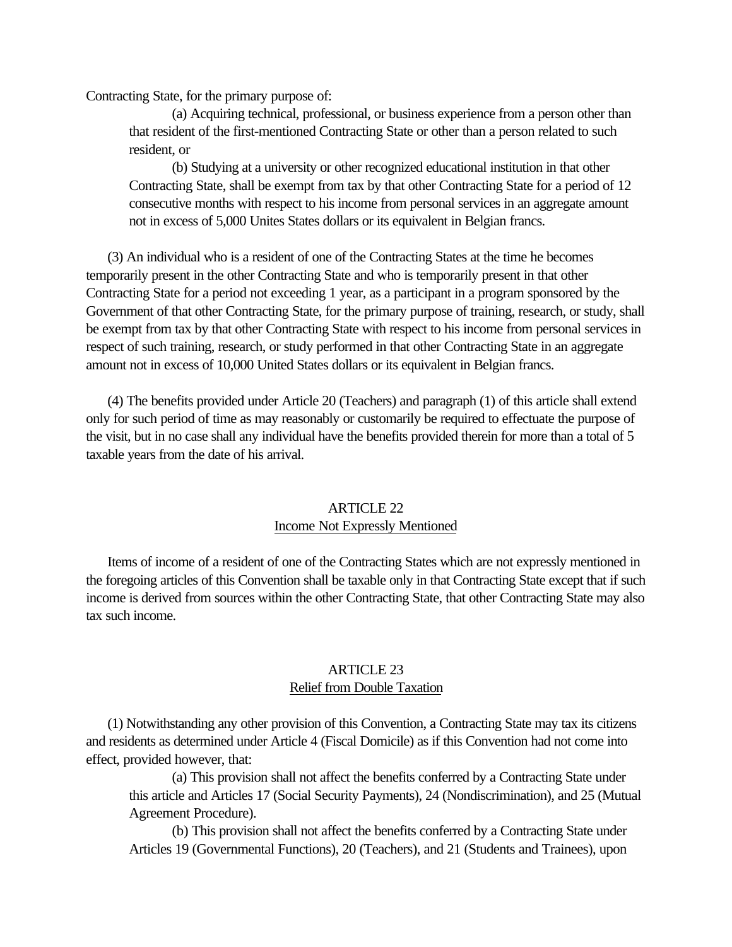<span id="page-20-0"></span>Contracting State, for the primary purpose of:

(a) Acquiring technical, professional, or business experience from a person other than that resident of the first-mentioned Contracting State or other than a person related to such resident, or

(b) Studying at a university or other recognized educational institution in that other Contracting State, shall be exempt from tax by that other Contracting State for a period of 12 consecutive months with respect to his income from personal services in an aggregate amount not in excess of 5,000 Unites States dollars or its equivalent in Belgian francs.

 (3) An individual who is a resident of one of the Contracting States at the time he becomes temporarily present in the other Contracting State and who is temporarily present in that other Contracting State for a period not exceeding 1 year, as a participant in a program sponsored by the Government of that other Contracting State, for the primary purpose of training, research, or study, shall be exempt from tax by that other Contracting State with respect to his income from personal services in respect of such training, research, or study performed in that other Contracting State in an aggregate amount not in excess of 10,000 United States dollars or its equivalent in Belgian francs.

 (4) The benefits provided under Article 20 (Teachers) and paragraph (1) of this article shall extend only for such period of time as may reasonably or customarily be required to effectuate the purpose of the visit, but in no case shall any individual have the benefits provided therein for more than a total of 5 taxable years from the date of his arrival.

# ARTICLE 22

## Income Not Expressly Mentioned

 Items of income of a resident of one of the Contracting States which are not expressly mentioned in the foregoing articles of this Convention shall be taxable only in that Contracting State except that if such income is derived from sources within the other Contracting State, that other Contracting State may also tax such income.

## ARTICLE 23 Relief from Double Taxation

 (1) Notwithstanding any other provision of this Convention, a Contracting State may tax its citizens and residents as determined under Article 4 (Fiscal Domicile) as if this Convention had not come into effect, provided however, that:

(a) This provision shall not affect the benefits conferred by a Contracting State under this article and Articles 17 (Social Security Payments), 24 (Nondiscrimination), and 25 (Mutual Agreement Procedure).

(b) This provision shall not affect the benefits conferred by a Contracting State under Articles 19 (Governmental Functions), 20 (Teachers), and 21 (Students and Trainees), upon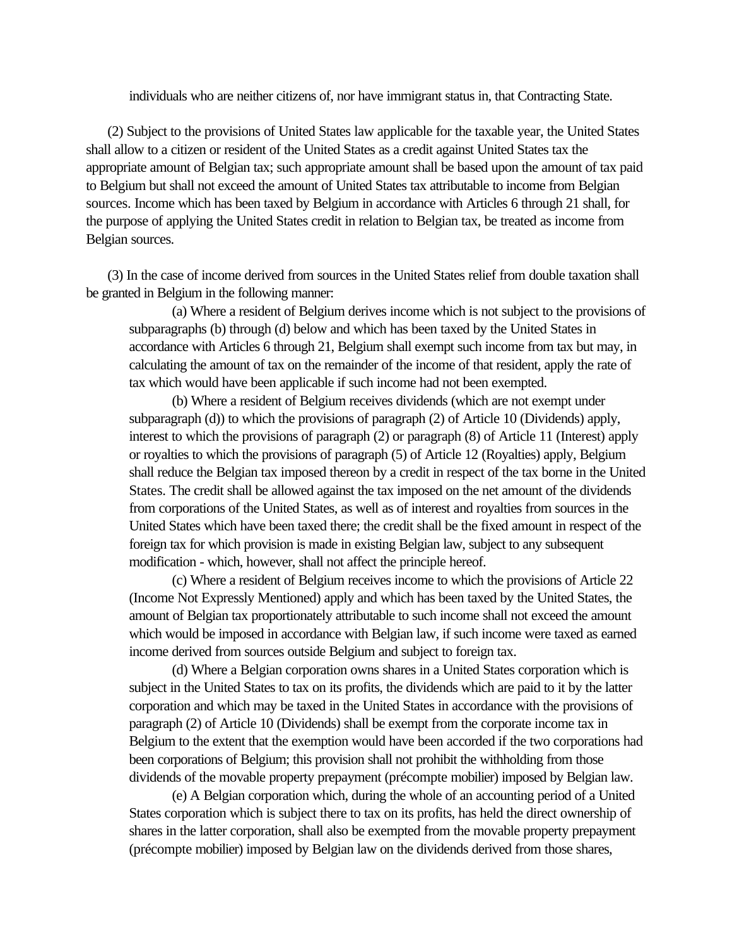individuals who are neither citizens of, nor have immigrant status in, that Contracting State.

 (2) Subject to the provisions of United States law applicable for the taxable year, the United States shall allow to a citizen or resident of the United States as a credit against United States tax the appropriate amount of Belgian tax; such appropriate amount shall be based upon the amount of tax paid to Belgium but shall not exceed the amount of United States tax attributable to income from Belgian sources. Income which has been taxed by Belgium in accordance with Articles 6 through 21 shall, for the purpose of applying the United States credit in relation to Belgian tax, be treated as income from Belgian sources.

 (3) In the case of income derived from sources in the United States relief from double taxation shall be granted in Belgium in the following manner:

(a) Where a resident of Belgium derives income which is not subject to the provisions of subparagraphs (b) through (d) below and which has been taxed by the United States in accordance with Articles 6 through 21, Belgium shall exempt such income from tax but may, in calculating the amount of tax on the remainder of the income of that resident, apply the rate of tax which would have been applicable if such income had not been exempted.

(b) Where a resident of Belgium receives dividends (which are not exempt under subparagraph (d)) to which the provisions of paragraph (2) of Article 10 (Dividends) apply, interest to which the provisions of paragraph (2) or paragraph (8) of Article 11 (Interest) apply or royalties to which the provisions of paragraph (5) of Article 12 (Royalties) apply, Belgium shall reduce the Belgian tax imposed thereon by a credit in respect of the tax borne in the United States. The credit shall be allowed against the tax imposed on the net amount of the dividends from corporations of the United States, as well as of interest and royalties from sources in the United States which have been taxed there; the credit shall be the fixed amount in respect of the foreign tax for which provision is made in existing Belgian law, subject to any subsequent modification - which, however, shall not affect the principle hereof.

(c) Where a resident of Belgium receives income to which the provisions of Article 22 (Income Not Expressly Mentioned) apply and which has been taxed by the United States, the amount of Belgian tax proportionately attributable to such income shall not exceed the amount which would be imposed in accordance with Belgian law, if such income were taxed as earned income derived from sources outside Belgium and subject to foreign tax.

(d) Where a Belgian corporation owns shares in a United States corporation which is subject in the United States to tax on its profits, the dividends which are paid to it by the latter corporation and which may be taxed in the United States in accordance with the provisions of paragraph (2) of Article 10 (Dividends) shall be exempt from the corporate income tax in Belgium to the extent that the exemption would have been accorded if the two corporations had been corporations of Belgium; this provision shall not prohibit the withholding from those dividends of the movable property prepayment (précompte mobilier) imposed by Belgian law.

(e) A Belgian corporation which, during the whole of an accounting period of a United States corporation which is subject there to tax on its profits, has held the direct ownership of shares in the latter corporation, shall also be exempted from the movable property prepayment (précompte mobilier) imposed by Belgian law on the dividends derived from those shares,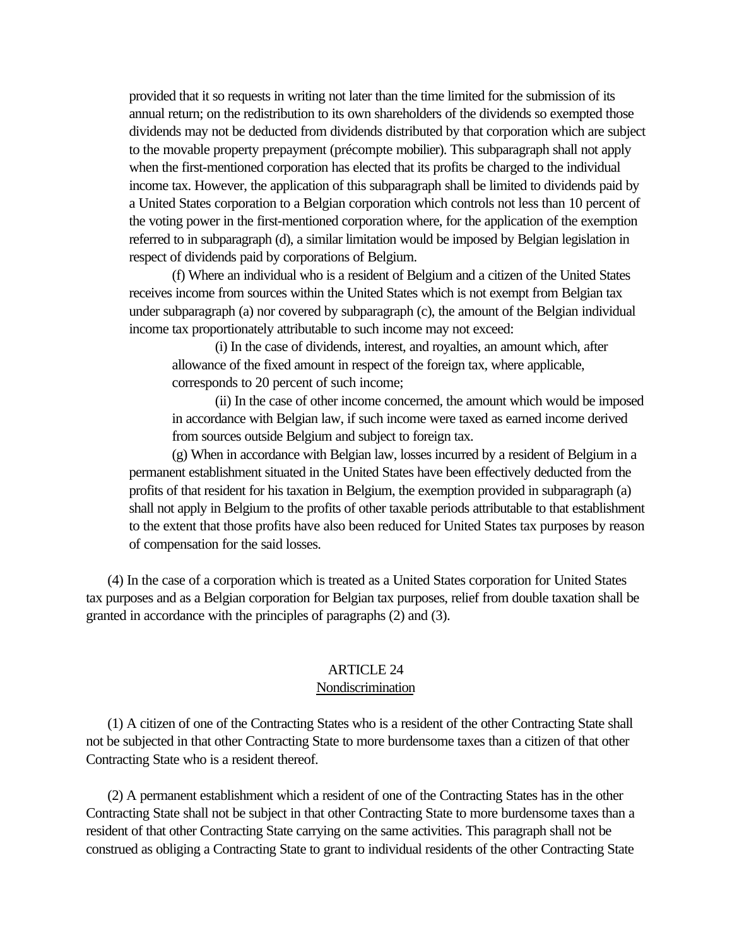<span id="page-22-0"></span>provided that it so requests in writing not later than the time limited for the submission of its annual return; on the redistribution to its own shareholders of the dividends so exempted those dividends may not be deducted from dividends distributed by that corporation which are subject to the movable property prepayment (précompte mobilier). This subparagraph shall not apply when the first-mentioned corporation has elected that its profits be charged to the individual income tax. However, the application of this subparagraph shall be limited to dividends paid by a United States corporation to a Belgian corporation which controls not less than 10 percent of the voting power in the first-mentioned corporation where, for the application of the exemption referred to in subparagraph (d), a similar limitation would be imposed by Belgian legislation in respect of dividends paid by corporations of Belgium.

(f) Where an individual who is a resident of Belgium and a citizen of the United States receives income from sources within the United States which is not exempt from Belgian tax under subparagraph (a) nor covered by subparagraph (c), the amount of the Belgian individual income tax proportionately attributable to such income may not exceed:

(i) In the case of dividends, interest, and royalties, an amount which, after allowance of the fixed amount in respect of the foreign tax, where applicable, corresponds to 20 percent of such income;

(ii) In the case of other income concerned, the amount which would be imposed in accordance with Belgian law, if such income were taxed as earned income derived from sources outside Belgium and subject to foreign tax.

(g) When in accordance with Belgian law, losses incurred by a resident of Belgium in a permanent establishment situated in the United States have been effectively deducted from the profits of that resident for his taxation in Belgium, the exemption provided in subparagraph (a) shall not apply in Belgium to the profits of other taxable periods attributable to that establishment to the extent that those profits have also been reduced for United States tax purposes by reason of compensation for the said losses.

 (4) In the case of a corporation which is treated as a United States corporation for United States tax purposes and as a Belgian corporation for Belgian tax purposes, relief from double taxation shall be granted in accordance with the principles of paragraphs (2) and (3).

## ARTICLE 24

#### Nondiscrimination

 (1) A citizen of one of the Contracting States who is a resident of the other Contracting State shall not be subjected in that other Contracting State to more burdensome taxes than a citizen of that other Contracting State who is a resident thereof.

 (2) A permanent establishment which a resident of one of the Contracting States has in the other Contracting State shall not be subject in that other Contracting State to more burdensome taxes than a resident of that other Contracting State carrying on the same activities. This paragraph shall not be construed as obliging a Contracting State to grant to individual residents of the other Contracting State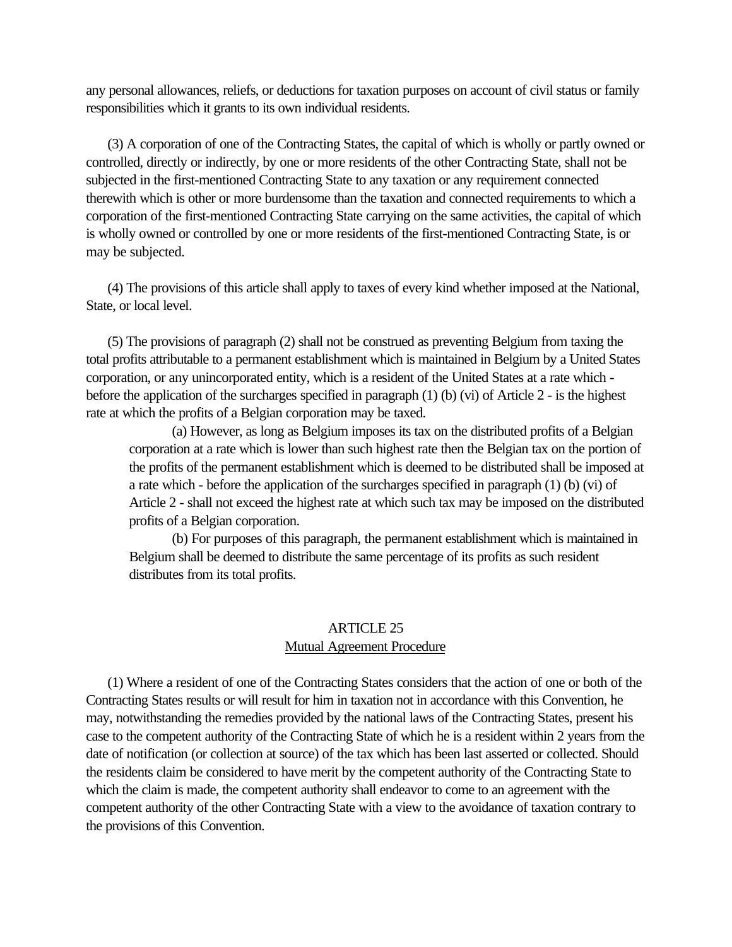<span id="page-23-0"></span>any personal allowances, reliefs, or deductions for taxation purposes on account of civil status or family responsibilities which it grants to its own individual residents.

 (3) A corporation of one of the Contracting States, the capital of which is wholly or partly owned or controlled, directly or indirectly, by one or more residents of the other Contracting State, shall not be subjected in the first-mentioned Contracting State to any taxation or any requirement connected therewith which is other or more burdensome than the taxation and connected requirements to which a corporation of the first-mentioned Contracting State carrying on the same activities, the capital of which is wholly owned or controlled by one or more residents of the first-mentioned Contracting State, is or may be subjected.

 (4) The provisions of this article shall apply to taxes of every kind whether imposed at the National, State, or local level.

 (5) The provisions of paragraph (2) shall not be construed as preventing Belgium from taxing the total profits attributable to a permanent establishment which is maintained in Belgium by a United States corporation, or any unincorporated entity, which is a resident of the United States at a rate which before the application of the surcharges specified in paragraph (1) (b) (vi) of Article 2 - is the highest rate at which the profits of a Belgian corporation may be taxed.

(a) However, as long as Belgium imposes its tax on the distributed profits of a Belgian corporation at a rate which is lower than such highest rate then the Belgian tax on the portion of the profits of the permanent establishment which is deemed to be distributed shall be imposed at a rate which - before the application of the surcharges specified in paragraph (1) (b) (vi) of Article 2 - shall not exceed the highest rate at which such tax may be imposed on the distributed profits of a Belgian corporation.

(b) For purposes of this paragraph, the permanent establishment which is maintained in Belgium shall be deemed to distribute the same percentage of its profits as such resident distributes from its total profits.

# ARTICLE 25 Mutual Agreement Procedure

 (1) Where a resident of one of the Contracting States considers that the action of one or both of the Contracting States results or will result for him in taxation not in accordance with this Convention, he may, notwithstanding the remedies provided by the national laws of the Contracting States, present his case to the competent authority of the Contracting State of which he is a resident within 2 years from the date of notification (or collection at source) of the tax which has been last asserted or collected. Should the residents claim be considered to have merit by the competent authority of the Contracting State to which the claim is made, the competent authority shall endeavor to come to an agreement with the competent authority of the other Contracting State with a view to the avoidance of taxation contrary to the provisions of this Convention.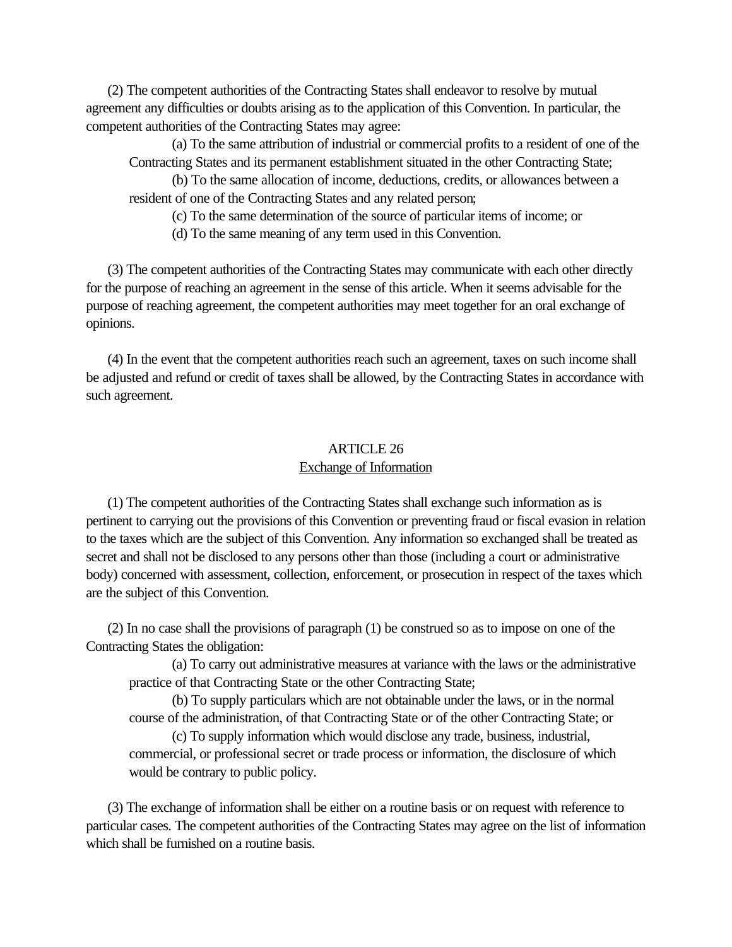<span id="page-24-0"></span> (2) The competent authorities of the Contracting States shall endeavor to resolve by mutual agreement any difficulties or doubts arising as to the application of this Convention. In particular, the competent authorities of the Contracting States may agree:

(a) To the same attribution of industrial or commercial profits to a resident of one of the Contracting States and its permanent establishment situated in the other Contracting State;

(b) To the same allocation of income, deductions, credits, or allowances between a resident of one of the Contracting States and any related person;

(c) To the same determination of the source of particular items of income; or

(d) To the same meaning of any term used in this Convention.

 (3) The competent authorities of the Contracting States may communicate with each other directly for the purpose of reaching an agreement in the sense of this article. When it seems advisable for the purpose of reaching agreement, the competent authorities may meet together for an oral exchange of opinions.

 (4) In the event that the competent authorities reach such an agreement, taxes on such income shall be adjusted and refund or credit of taxes shall be allowed, by the Contracting States in accordance with such agreement.

## ARTICLE 26 Exchange of Information

 (1) The competent authorities of the Contracting States shall exchange such information as is pertinent to carrying out the provisions of this Convention or preventing fraud or fiscal evasion in relation to the taxes which are the subject of this Convention. Any information so exchanged shall be treated as secret and shall not be disclosed to any persons other than those (including a court or administrative body) concerned with assessment, collection, enforcement, or prosecution in respect of the taxes which are the subject of this Convention.

 (2) In no case shall the provisions of paragraph (1) be construed so as to impose on one of the Contracting States the obligation:

(a) To carry out administrative measures at variance with the laws or the administrative practice of that Contracting State or the other Contracting State;

(b) To supply particulars which are not obtainable under the laws, or in the normal course of the administration, of that Contracting State or of the other Contracting State; or

(c) To supply information which would disclose any trade, business, industrial, commercial, or professional secret or trade process or information, the disclosure of which would be contrary to public policy.

 (3) The exchange of information shall be either on a routine basis or on request with reference to particular cases. The competent authorities of the Contracting States may agree on the list of information which shall be furnished on a routine basis.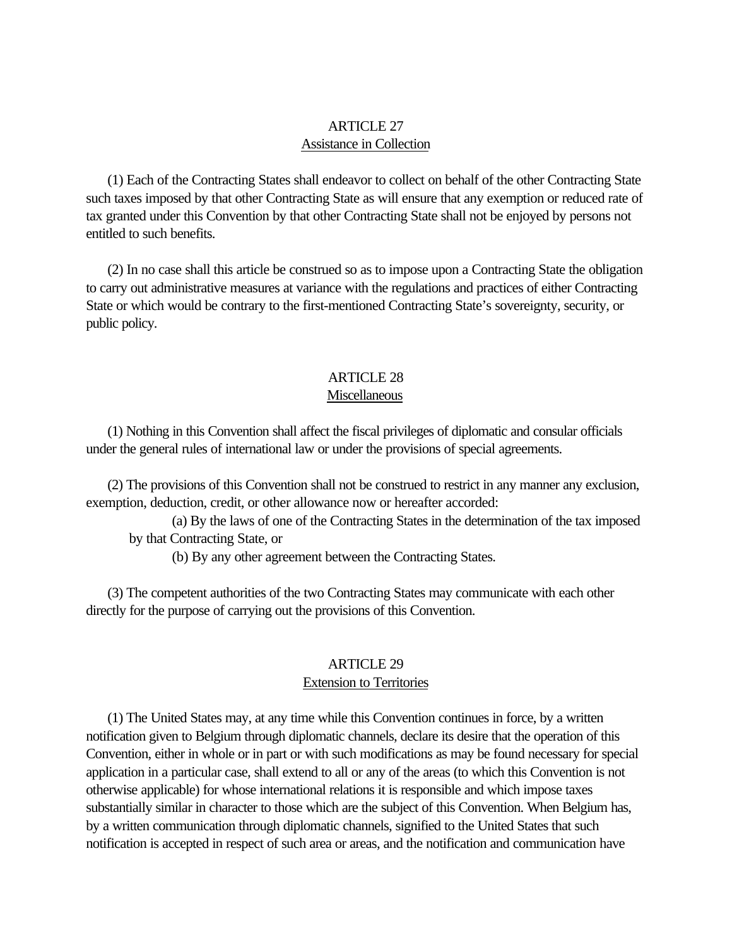## ARTICLE 27 Assistance in Collection

<span id="page-25-0"></span> (1) Each of the Contracting States shall endeavor to collect on behalf of the other Contracting State such taxes imposed by that other Contracting State as will ensure that any exemption or reduced rate of tax granted under this Convention by that other Contracting State shall not be enjoyed by persons not entitled to such benefits.

 (2) In no case shall this article be construed so as to impose upon a Contracting State the obligation to carry out administrative measures at variance with the regulations and practices of either Contracting State or which would be contrary to the first-mentioned Contracting State's sovereignty, security, or public policy.

# ARTICLE 28

## Miscellaneous

 (1) Nothing in this Convention shall affect the fiscal privileges of diplomatic and consular officials under the general rules of international law or under the provisions of special agreements.

 (2) The provisions of this Convention shall not be construed to restrict in any manner any exclusion, exemption, deduction, credit, or other allowance now or hereafter accorded:

(a) By the laws of one of the Contracting States in the determination of the tax imposed by that Contracting State, or

(b) By any other agreement between the Contracting States.

 (3) The competent authorities of the two Contracting States may communicate with each other directly for the purpose of carrying out the provisions of this Convention.

#### ARTICLE 29

#### Extension to Territories

 (1) The United States may, at any time while this Convention continues in force, by a written notification given to Belgium through diplomatic channels, declare its desire that the operation of this Convention, either in whole or in part or with such modifications as may be found necessary for special application in a particular case, shall extend to all or any of the areas (to which this Convention is not otherwise applicable) for whose international relations it is responsible and which impose taxes substantially similar in character to those which are the subject of this Convention. When Belgium has, by a written communication through diplomatic channels, signified to the United States that such notification is accepted in respect of such area or areas, and the notification and communication have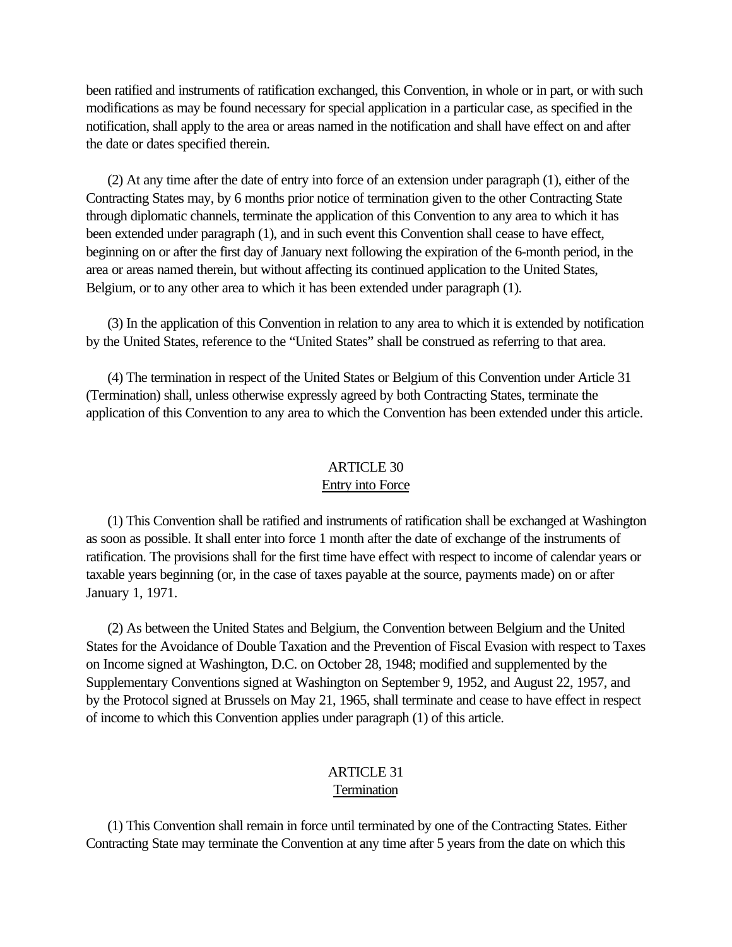<span id="page-26-0"></span>been ratified and instruments of ratification exchanged, this Convention, in whole or in part, or with such modifications as may be found necessary for special application in a particular case, as specified in the notification, shall apply to the area or areas named in the notification and shall have effect on and after the date or dates specified therein.

 (2) At any time after the date of entry into force of an extension under paragraph (1), either of the Contracting States may, by 6 months prior notice of termination given to the other Contracting State through diplomatic channels, terminate the application of this Convention to any area to which it has been extended under paragraph (1), and in such event this Convention shall cease to have effect, beginning on or after the first day of January next following the expiration of the 6-month period, in the area or areas named therein, but without affecting its continued application to the United States, Belgium, or to any other area to which it has been extended under paragraph (1).

 (3) In the application of this Convention in relation to any area to which it is extended by notification by the United States, reference to the "United States" shall be construed as referring to that area.

 (4) The termination in respect of the United States or Belgium of this Convention under Article 31 (Termination) shall, unless otherwise expressly agreed by both Contracting States, terminate the application of this Convention to any area to which the Convention has been extended under this article.

## ARTICLE 30 Entry into Force

 (1) This Convention shall be ratified and instruments of ratification shall be exchanged at Washington as soon as possible. It shall enter into force 1 month after the date of exchange of the instruments of ratification. The provisions shall for the first time have effect with respect to income of calendar years or taxable years beginning (or, in the case of taxes payable at the source, payments made) on or after January 1, 1971.

 (2) As between the United States and Belgium, the Convention between Belgium and the United States for the Avoidance of Double Taxation and the Prevention of Fiscal Evasion with respect to Taxes on Income signed at Washington, D.C. on October 28, 1948; modified and supplemented by the Supplementary Conventions signed at Washington on September 9, 1952, and August 22, 1957, and by the Protocol signed at Brussels on May 21, 1965, shall terminate and cease to have effect in respect of income to which this Convention applies under paragraph (1) of this article.

#### ARTICLE 31 **Termination**

 (1) This Convention shall remain in force until terminated by one of the Contracting States. Either Contracting State may terminate the Convention at any time after 5 years from the date on which this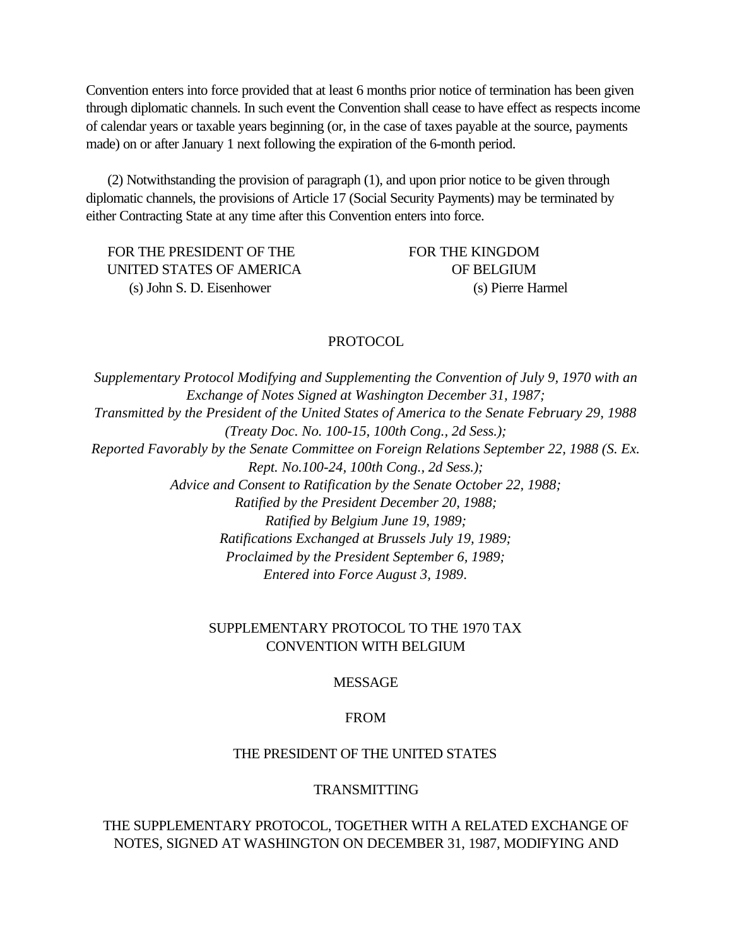<span id="page-27-0"></span>Convention enters into force provided that at least 6 months prior notice of termination has been given through diplomatic channels. In such event the Convention shall cease to have effect as respects income of calendar years or taxable years beginning (or, in the case of taxes payable at the source, payments made) on or after January 1 next following the expiration of the 6-month period.

 (2) Notwithstanding the provision of paragraph (1), and upon prior notice to be given through diplomatic channels, the provisions of Article 17 (Social Security Payments) may be terminated by either Contracting State at any time after this Convention enters into force.

FOR THE PRESIDENT OF THE FOR THE KINGDOM UNITED STATES OF AMERICA OF BELGIUM (s) John S. D. Eisenhower (s) Pierre Harmel

## PROTOCOL

*Supplementary Protocol Modifying and Supplementing the Convention of July 9, 1970 with an Exchange of Notes Signed at Washington December 31, 1987; Transmitted by the President of the United States of America to the Senate February 29, 1988 (Treaty Doc. No. 100-15, 100th Cong., 2d Sess.); Reported Favorably by the Senate Committee on Foreign Relations September 22, 1988 (S. Ex. Rept. No.100-24, 100th Cong., 2d Sess.); Advice and Consent to Ratification by the Senate October 22, 1988; Ratified by the President December 20, 1988; Ratified by Belgium June 19, 1989; Ratifications Exchanged at Brussels July 19, 1989; Proclaimed by the President September 6, 1989; Entered into Force August 3, 1989*.

## SUPPLEMENTARY PROTOCOL TO THE 1970 TAX CONVENTION WITH BELGIUM

## MESSAGE

## FROM

#### THE PRESIDENT OF THE UNITED STATES

#### TRANSMITTING

## THE SUPPLEMENTARY PROTOCOL, TOGETHER WITH A RELATED EXCHANGE OF NOTES, SIGNED AT WASHINGTON ON DECEMBER 31, 1987, MODIFYING AND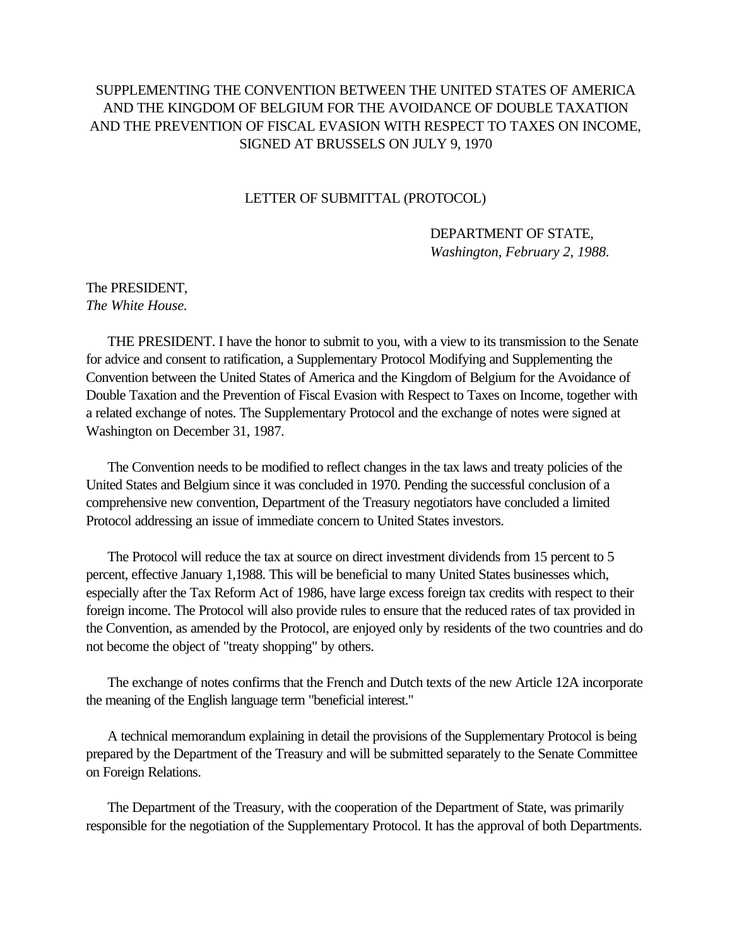# <span id="page-28-0"></span>SUPPLEMENTING THE CONVENTION BETWEEN THE UNITED STATES OF AMERICA AND THE KINGDOM OF BELGIUM FOR THE AVOIDANCE OF DOUBLE TAXATION AND THE PREVENTION OF FISCAL EVASION WITH RESPECT TO TAXES ON INCOME, SIGNED AT BRUSSELS ON JULY 9, 1970

#### LETTER OF SUBMITTAL (PROTOCOL)

## DEPARTMENT OF STATE, *Washington, February 2, 1988.*

#### The PRESIDENT, *The White House.*

 THE PRESIDENT. I have the honor to submit to you, with a view to its transmission to the Senate for advice and consent to ratification, a Supplementary Protocol Modifying and Supplementing the Convention between the United States of America and the Kingdom of Belgium for the Avoidance of Double Taxation and the Prevention of Fiscal Evasion with Respect to Taxes on Income, together with a related exchange of notes. The Supplementary Protocol and the exchange of notes were signed at Washington on December 31, 1987.

 The Convention needs to be modified to reflect changes in the tax laws and treaty policies of the United States and Belgium since it was concluded in 1970. Pending the successful conclusion of a comprehensive new convention, Department of the Treasury negotiators have concluded a limited Protocol addressing an issue of immediate concern to United States investors.

 The Protocol will reduce the tax at source on direct investment dividends from 15 percent to 5 percent, effective January 1,1988. This will be beneficial to many United States businesses which, especially after the Tax Reform Act of 1986, have large excess foreign tax credits with respect to their foreign income. The Protocol will also provide rules to ensure that the reduced rates of tax provided in the Convention, as amended by the Protocol, are enjoyed only by residents of the two countries and do not become the object of "treaty shopping" by others.

 The exchange of notes confirms that the French and Dutch texts of the new Article 12A incorporate the meaning of the English language term "beneficial interest."

 A technical memorandum explaining in detail the provisions of the Supplementary Protocol is being prepared by the Department of the Treasury and will be submitted separately to the Senate Committee on Foreign Relations.

 The Department of the Treasury, with the cooperation of the Department of State, was primarily responsible for the negotiation of the Supplementary Protocol. It has the approval of both Departments.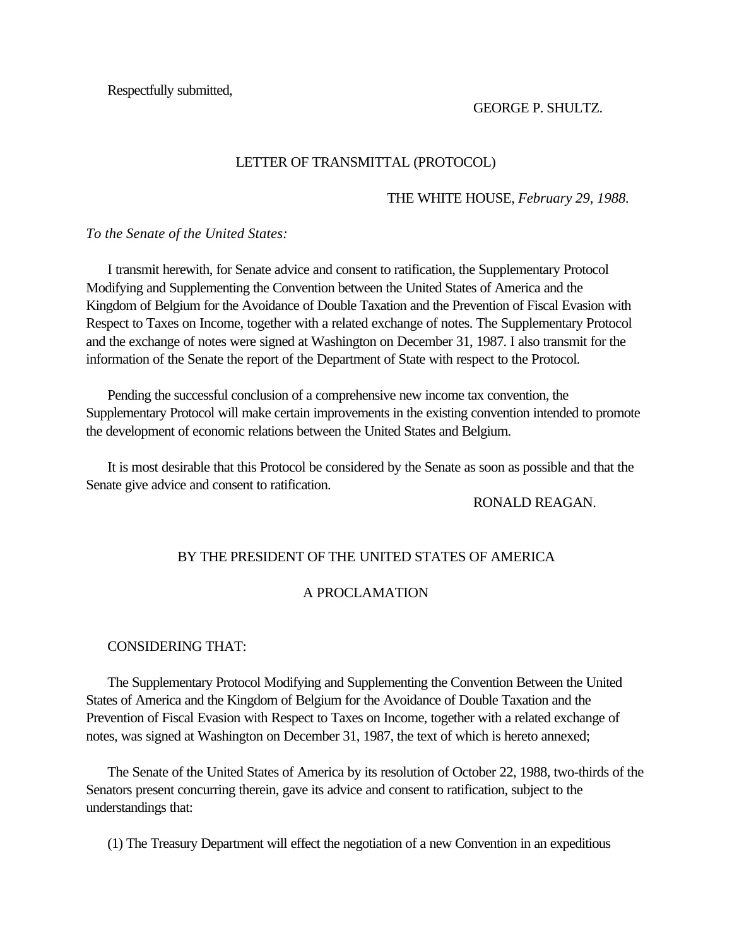<span id="page-29-0"></span>Respectfully submitted,

GEORGE P. SHULTZ.

#### LETTER OF TRANSMITTAL (PROTOCOL)

#### THE WHITE HOUSE, *February 29, 1988.*

*To the Senate of the United States:*

 I transmit herewith, for Senate advice and consent to ratification, the Supplementary Protocol Modifying and Supplementing the Convention between the United States of America and the Kingdom of Belgium for the Avoidance of Double Taxation and the Prevention of Fiscal Evasion with Respect to Taxes on Income, together with a related exchange of notes. The Supplementary Protocol and the exchange of notes were signed at Washington on December 31, 1987. I also transmit for the information of the Senate the report of the Department of State with respect to the Protocol.

 Pending the successful conclusion of a comprehensive new income tax convention, the Supplementary Protocol will make certain improvements in the existing convention intended to promote the development of economic relations between the United States and Belgium.

 It is most desirable that this Protocol be considered by the Senate as soon as possible and that the Senate give advice and consent to ratification.

RONALD REAGAN.

#### BY THE PRESIDENT OF THE UNITED STATES OF AMERICA

## A PROCLAMATION

#### CONSIDERING THAT:

 The Supplementary Protocol Modifying and Supplementing the Convention Between the United States of America and the Kingdom of Belgium for the Avoidance of Double Taxation and the Prevention of Fiscal Evasion with Respect to Taxes on Income, together with a related exchange of notes, was signed at Washington on December 31, 1987, the text of which is hereto annexed;

 The Senate of the United States of America by its resolution of October 22, 1988, two-thirds of the Senators present concurring therein, gave its advice and consent to ratification, subject to the understandings that:

(1) The Treasury Department will effect the negotiation of a new Convention in an expeditious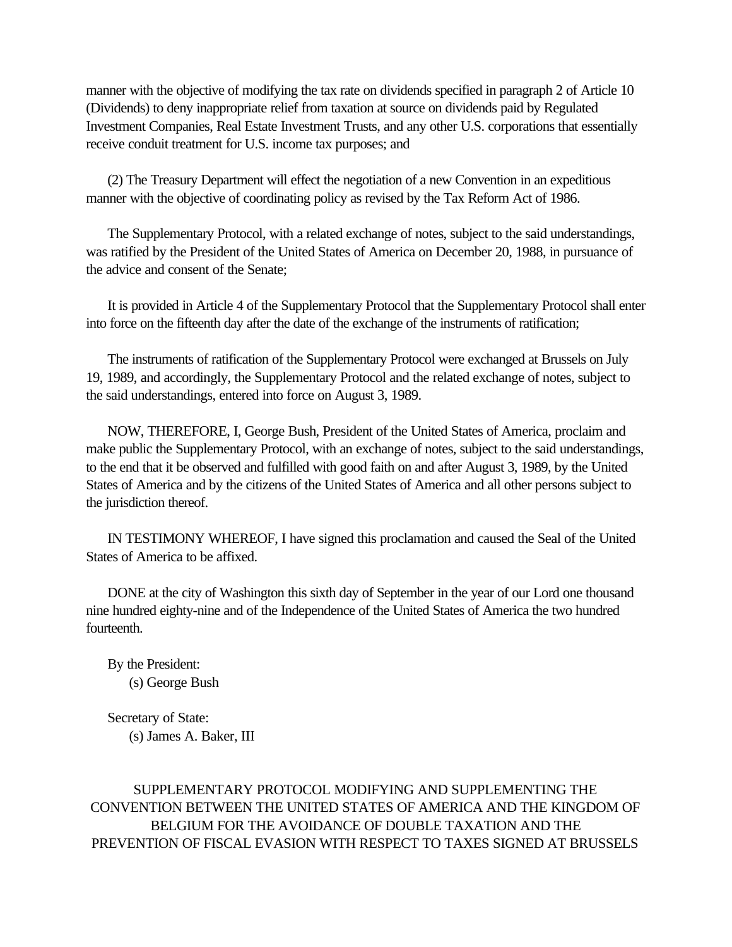manner with the objective of modifying the tax rate on dividends specified in paragraph 2 of Article 10 (Dividends) to deny inappropriate relief from taxation at source on dividends paid by Regulated Investment Companies, Real Estate Investment Trusts, and any other U.S. corporations that essentially receive conduit treatment for U.S. income tax purposes; and

 (2) The Treasury Department will effect the negotiation of a new Convention in an expeditious manner with the objective of coordinating policy as revised by the Tax Reform Act of 1986.

 The Supplementary Protocol, with a related exchange of notes, subject to the said understandings, was ratified by the President of the United States of America on December 20, 1988, in pursuance of the advice and consent of the Senate;

 It is provided in Article 4 of the Supplementary Protocol that the Supplementary Protocol shall enter into force on the fifteenth day after the date of the exchange of the instruments of ratification;

 The instruments of ratification of the Supplementary Protocol were exchanged at Brussels on July 19, 1989, and accordingly, the Supplementary Protocol and the related exchange of notes, subject to the said understandings, entered into force on August 3, 1989.

 NOW, THEREFORE, I, George Bush, President of the United States of America, proclaim and make public the Supplementary Protocol, with an exchange of notes, subject to the said understandings, to the end that it be observed and fulfilled with good faith on and after August 3, 1989, by the United States of America and by the citizens of the United States of America and all other persons subject to the jurisdiction thereof.

 IN TESTIMONY WHEREOF, I have signed this proclamation and caused the Seal of the United States of America to be affixed.

 DONE at the city of Washington this sixth day of September in the year of our Lord one thousand nine hundred eighty-nine and of the Independence of the United States of America the two hundred fourteenth.

 By the President: (s) George Bush

 Secretary of State: (s) James A. Baker, III

SUPPLEMENTARY PROTOCOL MODIFYING AND SUPPLEMENTING THE CONVENTION BETWEEN THE UNITED STATES OF AMERICA AND THE KINGDOM OF BELGIUM FOR THE AVOIDANCE OF DOUBLE TAXATION AND THE PREVENTION OF FISCAL EVASION WITH RESPECT TO TAXES SIGNED AT BRUSSELS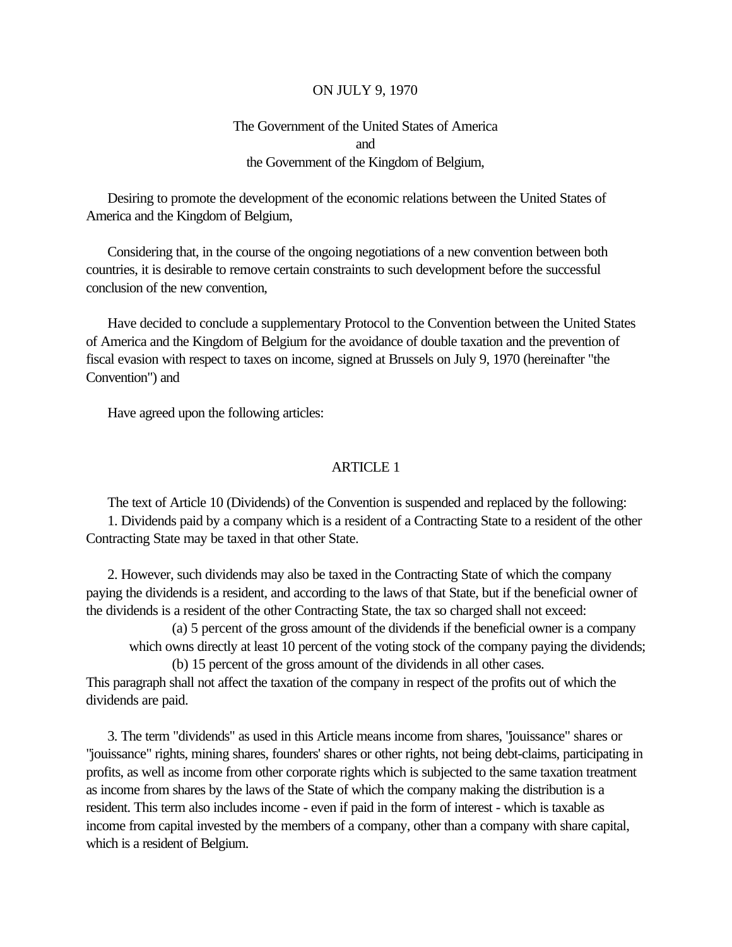#### ON JULY 9, 1970

## The Government of the United States of America and the Government of the Kingdom of Belgium,

 Desiring to promote the development of the economic relations between the United States of America and the Kingdom of Belgium,

 Considering that, in the course of the ongoing negotiations of a new convention between both countries, it is desirable to remove certain constraints to such development before the successful conclusion of the new convention,

 Have decided to conclude a supplementary Protocol to the Convention between the United States of America and the Kingdom of Belgium for the avoidance of double taxation and the prevention of fiscal evasion with respect to taxes on income, signed at Brussels on July 9, 1970 (hereinafter "the Convention") and

Have agreed upon the following articles:

#### ARTICLE 1

 The text of Article 10 (Dividends) of the Convention is suspended and replaced by the following: 1. Dividends paid by a company which is a resident of a Contracting State to a resident of the other Contracting State may be taxed in that other State.

 2. However, such dividends may also be taxed in the Contracting State of which the company paying the dividends is a resident, and according to the laws of that State, but if the beneficial owner of the dividends is a resident of the other Contracting State, the tax so charged shall not exceed:

(a) 5 percent of the gross amount of the dividends if the beneficial owner is a company which owns directly at least 10 percent of the voting stock of the company paying the dividends;

(b) 15 percent of the gross amount of the dividends in all other cases.

This paragraph shall not affect the taxation of the company in respect of the profits out of which the dividends are paid.

 3. The term "dividends" as used in this Article means income from shares, "jouissance" shares or "jouissance" rights, mining shares, founders' shares or other rights, not being debt-claims, participating in profits, as well as income from other corporate rights which is subjected to the same taxation treatment as income from shares by the laws of the State of which the company making the distribution is a resident. This term also includes income - even if paid in the form of interest - which is taxable as income from capital invested by the members of a company, other than a company with share capital, which is a resident of Belgium.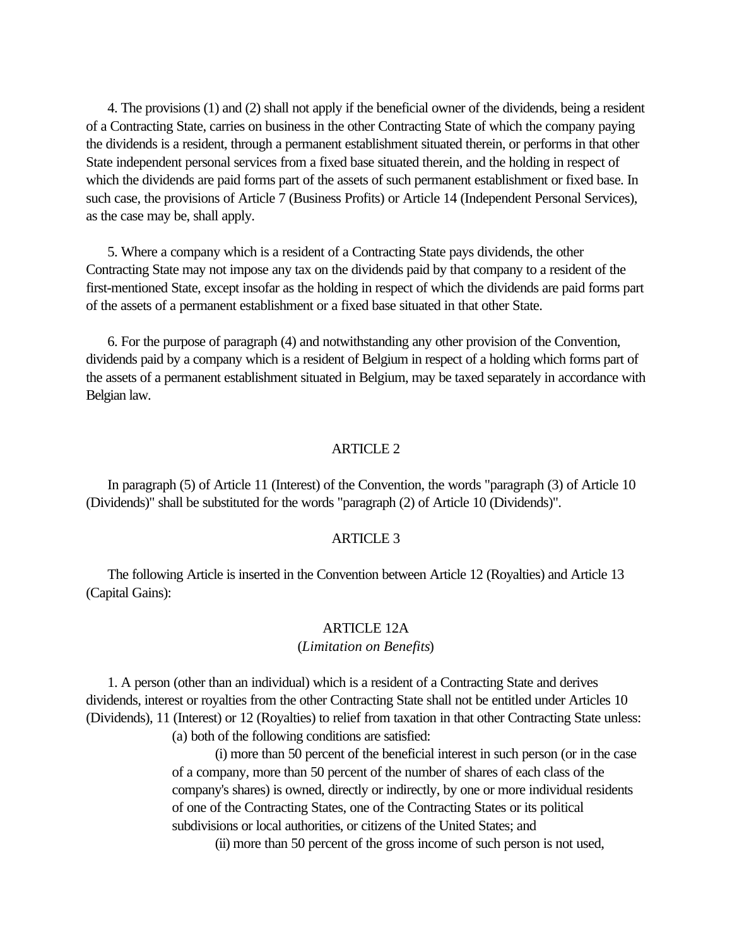4. The provisions (1) and (2) shall not apply if the beneficial owner of the dividends, being a resident of a Contracting State, carries on business in the other Contracting State of which the company paying the dividends is a resident, through a permanent establishment situated therein, or performs in that other State independent personal services from a fixed base situated therein, and the holding in respect of which the dividends are paid forms part of the assets of such permanent establishment or fixed base. In such case, the provisions of Article 7 (Business Profits) or Article 14 (Independent Personal Services), as the case may be, shall apply.

 5. Where a company which is a resident of a Contracting State pays dividends, the other Contracting State may not impose any tax on the dividends paid by that company to a resident of the first-mentioned State, except insofar as the holding in respect of which the dividends are paid forms part of the assets of a permanent establishment or a fixed base situated in that other State.

 6. For the purpose of paragraph (4) and notwithstanding any other provision of the Convention, dividends paid by a company which is a resident of Belgium in respect of a holding which forms part of the assets of a permanent establishment situated in Belgium, may be taxed separately in accordance with Belgian law.

#### ARTICLE 2

 In paragraph (5) of Article 11 (Interest) of the Convention, the words "paragraph (3) of Article 10 (Dividends)" shall be substituted for the words "paragraph (2) of Article 10 (Dividends)".

#### ARTICLE 3

 The following Article is inserted in the Convention between Article 12 (Royalties) and Article 13 (Capital Gains):

#### ARTICLE 12A

#### (*Limitation on Benefits*)

 1. A person (other than an individual) which is a resident of a Contracting State and derives dividends, interest or royalties from the other Contracting State shall not be entitled under Articles 10 (Dividends), 11 (Interest) or 12 (Royalties) to relief from taxation in that other Contracting State unless:

(a) both of the following conditions are satisfied:

(i) more than 50 percent of the beneficial interest in such person (or in the case of a company, more than 50 percent of the number of shares of each class of the company's shares) is owned, directly or indirectly, by one or more individual residents of one of the Contracting States, one of the Contracting States or its political subdivisions or local authorities, or citizens of the United States; and

(ii) more than 50 percent of the gross income of such person is not used,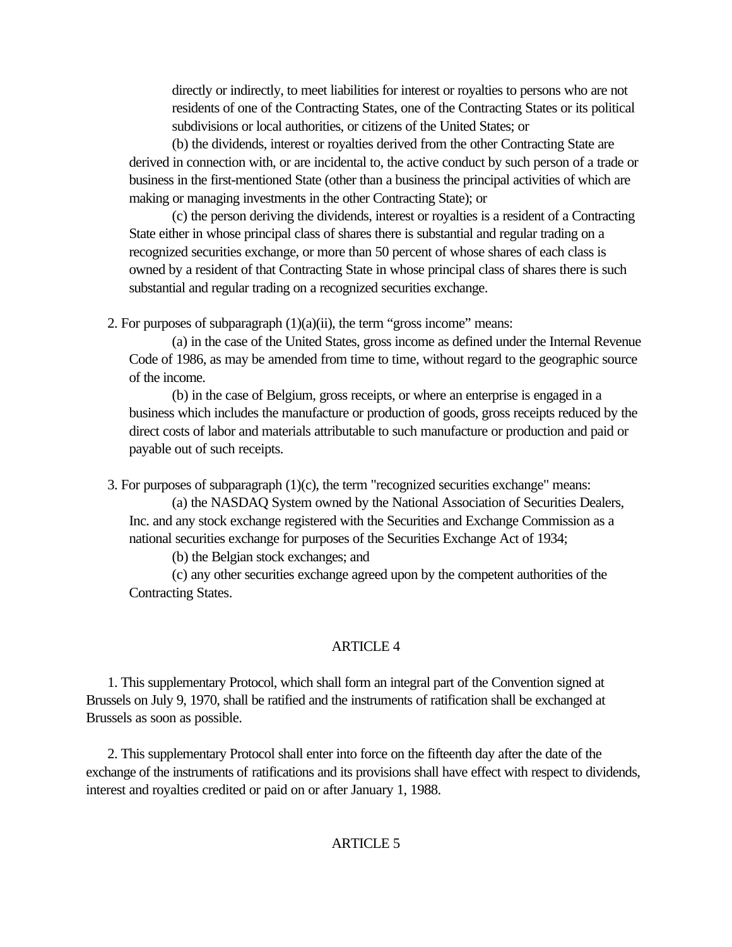directly or indirectly, to meet liabilities for interest or royalties to persons who are not residents of one of the Contracting States, one of the Contracting States or its political subdivisions or local authorities, or citizens of the United States; or

(b) the dividends, interest or royalties derived from the other Contracting State are derived in connection with, or are incidental to, the active conduct by such person of a trade or business in the first-mentioned State (other than a business the principal activities of which are making or managing investments in the other Contracting State); or

(c) the person deriving the dividends, interest or royalties is a resident of a Contracting State either in whose principal class of shares there is substantial and regular trading on a recognized securities exchange, or more than 50 percent of whose shares of each class is owned by a resident of that Contracting State in whose principal class of shares there is such substantial and regular trading on a recognized securities exchange.

2. For purposes of subparagraph  $(1)(a)(ii)$ , the term "gross income" means:

(a) in the case of the United States, gross income as defined under the Internal Revenue Code of 1986, as may be amended from time to time, without regard to the geographic source of the income.

(b) in the case of Belgium, gross receipts, or where an enterprise is engaged in a business which includes the manufacture or production of goods, gross receipts reduced by the direct costs of labor and materials attributable to such manufacture or production and paid or payable out of such receipts.

3. For purposes of subparagraph (1)(c), the term "recognized securities exchange" means:

(a) the NASDAQ System owned by the National Association of Securities Dealers, Inc. and any stock exchange registered with the Securities and Exchange Commission as a national securities exchange for purposes of the Securities Exchange Act of 1934;

(b) the Belgian stock exchanges; and

(c) any other securities exchange agreed upon by the competent authorities of the Contracting States.

## ARTICLE 4

 1. This supplementary Protocol, which shall form an integral part of the Convention signed at Brussels on July 9, 1970, shall be ratified and the instruments of ratification shall be exchanged at Brussels as soon as possible.

 2. This supplementary Protocol shall enter into force on the fifteenth day after the date of the exchange of the instruments of ratifications and its provisions shall have effect with respect to dividends, interest and royalties credited or paid on or after January 1, 1988.

## ARTICLE 5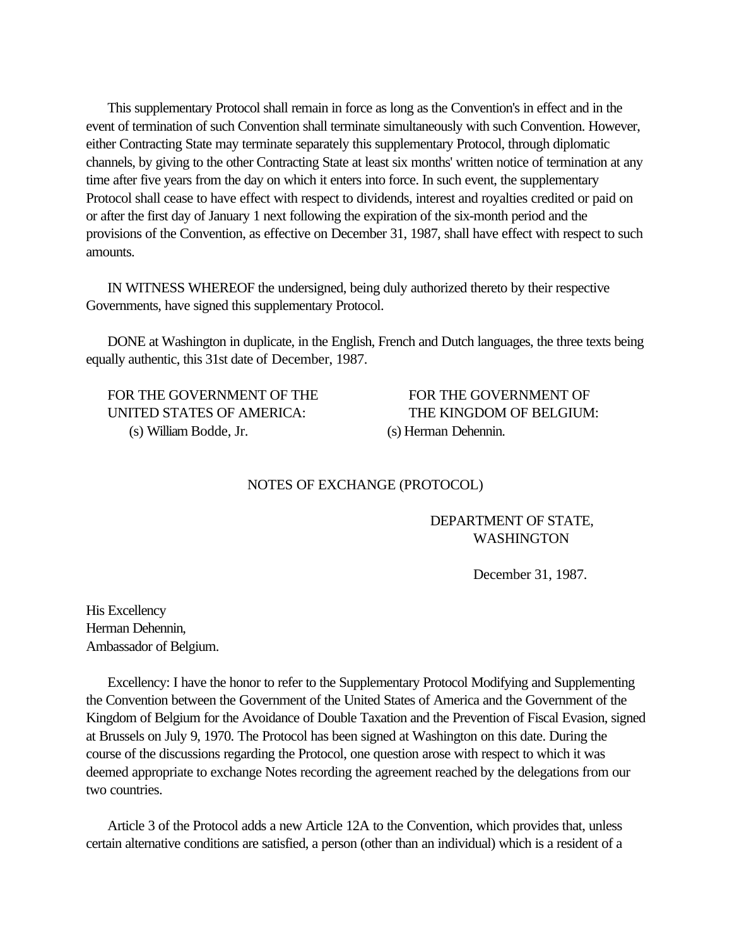<span id="page-34-0"></span> This supplementary Protocol shall remain in force as long as the Convention's in effect and in the event of termination of such Convention shall terminate simultaneously with such Convention. However, either Contracting State may terminate separately this supplementary Protocol, through diplomatic channels, by giving to the other Contracting State at least six months' written notice of termination at any time after five years from the day on which it enters into force. In such event, the supplementary Protocol shall cease to have effect with respect to dividends, interest and royalties credited or paid on or after the first day of January 1 next following the expiration of the six-month period and the provisions of the Convention, as effective on December 31, 1987, shall have effect with respect to such amounts.

 IN WITNESS WHEREOF the undersigned, being duly authorized thereto by their respective Governments, have signed this supplementary Protocol.

 DONE at Washington in duplicate, in the English, French and Dutch languages, the three texts being equally authentic, this 31st date of December, 1987.

 UNITED STATES OF AMERICA: THE KINGDOM OF BELGIUM: (s) William Bodde, Jr. (s) Herman Dehennin.

FOR THE GOVERNMENT OF THE FOR THE GOVERNMENT OF

#### NOTES OF EXCHANGE (PROTOCOL)

## DEPARTMENT OF STATE, WASHINGTON

December 31, 1987.

His Excellency Herman Dehennin, Ambassador of Belgium.

 Excellency: I have the honor to refer to the Supplementary Protocol Modifying and Supplementing the Convention between the Government of the United States of America and the Government of the Kingdom of Belgium for the Avoidance of Double Taxation and the Prevention of Fiscal Evasion, signed at Brussels on July 9, 1970. The Protocol has been signed at Washington on this date. During the course of the discussions regarding the Protocol, one question arose with respect to which it was deemed appropriate to exchange Notes recording the agreement reached by the delegations from our two countries.

 Article 3 of the Protocol adds a new Article 12A to the Convention, which provides that, unless certain alternative conditions are satisfied, a person (other than an individual) which is a resident of a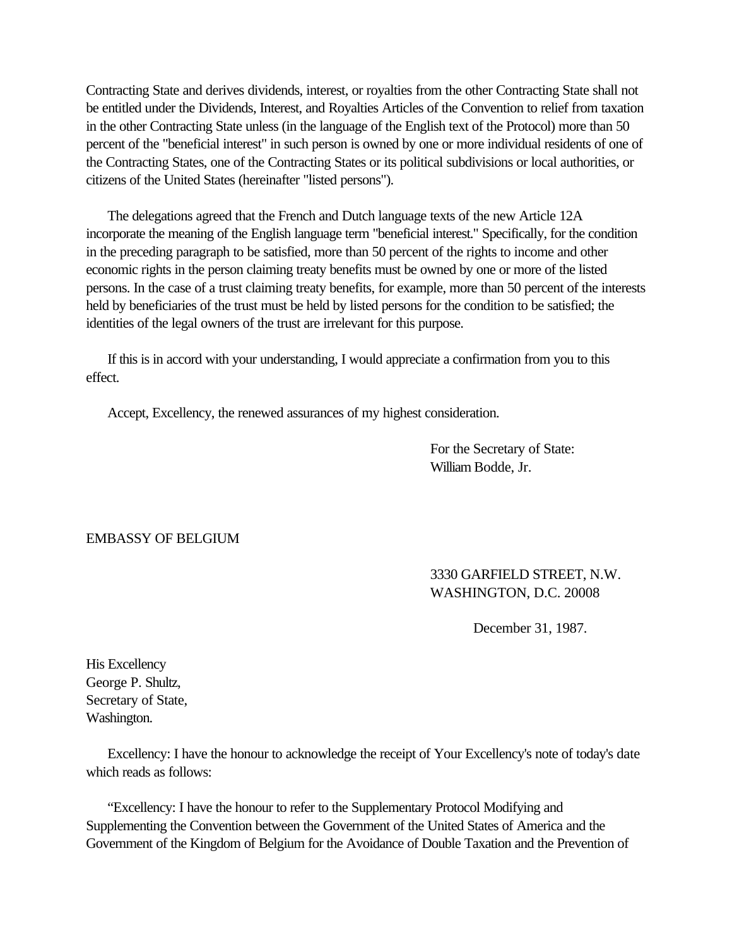Contracting State and derives dividends, interest, or royalties from the other Contracting State shall not be entitled under the Dividends, Interest, and Royalties Articles of the Convention to relief from taxation in the other Contracting State unless (in the language of the English text of the Protocol) more than 50 percent of the "beneficial interest" in such person is owned by one or more individual residents of one of the Contracting States, one of the Contracting States or its political subdivisions or local authorities, or citizens of the United States (hereinafter "listed persons").

 The delegations agreed that the French and Dutch language texts of the new Article 12A incorporate the meaning of the English language term "beneficial interest." Specifically, for the condition in the preceding paragraph to be satisfied, more than 50 percent of the rights to income and other economic rights in the person claiming treaty benefits must be owned by one or more of the listed persons. In the case of a trust claiming treaty benefits, for example, more than 50 percent of the interests held by beneficiaries of the trust must be held by listed persons for the condition to be satisfied; the identities of the legal owners of the trust are irrelevant for this purpose.

 If this is in accord with your understanding, I would appreciate a confirmation from you to this effect.

Accept, Excellency, the renewed assurances of my highest consideration.

For the Secretary of State: William Bodde, Jr.

## EMBASSY OF BELGIUM

## 3330 GARFIELD STREET, N.W. WASHINGTON, D.C. 20008

December 31, 1987.

His Excellency George P. Shultz, Secretary of State, Washington.

 Excellency: I have the honour to acknowledge the receipt of Your Excellency's note of today's date which reads as follows:

 "Excellency: I have the honour to refer to the Supplementary Protocol Modifying and Supplementing the Convention between the Government of the United States of America and the Government of the Kingdom of Belgium for the Avoidance of Double Taxation and the Prevention of